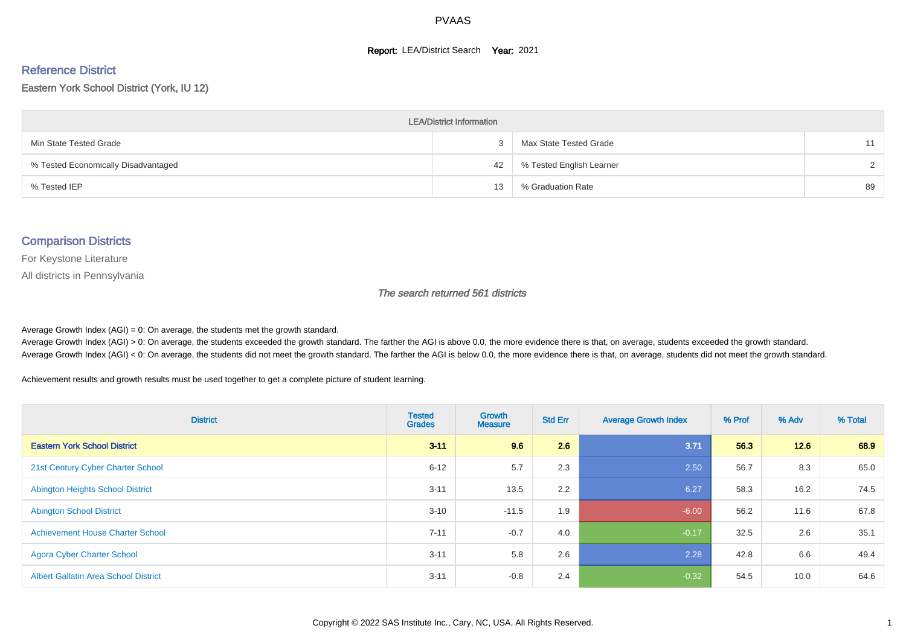#### **Report: LEA/District Search Year: 2021**

#### Reference District

#### Eastern York School District (York, IU 12)

| <b>LEA/District Information</b>     |    |                          |        |  |  |  |  |  |  |  |
|-------------------------------------|----|--------------------------|--------|--|--|--|--|--|--|--|
| Min State Tested Grade              |    | Max State Tested Grade   | 11     |  |  |  |  |  |  |  |
| % Tested Economically Disadvantaged | 42 | % Tested English Learner | $\sim$ |  |  |  |  |  |  |  |
| % Tested IEP                        | 13 | % Graduation Rate        | 89     |  |  |  |  |  |  |  |

#### Comparison Districts

For Keystone Literature

All districts in Pennsylvania

The search returned 561 districts

Average Growth Index  $(AGI) = 0$ : On average, the students met the growth standard.

Average Growth Index (AGI) > 0: On average, the students exceeded the growth standard. The farther the AGI is above 0.0, the more evidence there is that, on average, students exceeded the growth standard. Average Growth Index (AGI) < 0: On average, the students did not meet the growth standard. The farther the AGI is below 0.0, the more evidence there is that, on average, students did not meet the growth standard.

Achievement results and growth results must be used together to get a complete picture of student learning.

| <b>District</b>                             | <b>Tested</b><br><b>Grades</b> | <b>Growth</b><br><b>Measure</b> | <b>Std Err</b> | <b>Average Growth Index</b> | % Prof | % Adv | % Total |
|---------------------------------------------|--------------------------------|---------------------------------|----------------|-----------------------------|--------|-------|---------|
| <b>Eastern York School District</b>         | $3 - 11$                       | 9.6                             | 2.6            | 3.71                        | 56.3   | 12.6  | 68.9    |
| 21st Century Cyber Charter School           | $6 - 12$                       | 5.7                             | 2.3            | 2.50                        | 56.7   | 8.3   | 65.0    |
| <b>Abington Heights School District</b>     | $3 - 11$                       | 13.5                            | 2.2            | 6.27                        | 58.3   | 16.2  | 74.5    |
| <b>Abington School District</b>             | $3 - 10$                       | $-11.5$                         | 1.9            | $-6.00$                     | 56.2   | 11.6  | 67.8    |
| <b>Achievement House Charter School</b>     | $7 - 11$                       | $-0.7$                          | 4.0            | $-0.17$                     | 32.5   | 2.6   | 35.1    |
| <b>Agora Cyber Charter School</b>           | $3 - 11$                       | 5.8                             | 2.6            | 2.28                        | 42.8   | 6.6   | 49.4    |
| <b>Albert Gallatin Area School District</b> | $3 - 11$                       | $-0.8$                          | 2.4            | $-0.32$                     | 54.5   | 10.0  | 64.6    |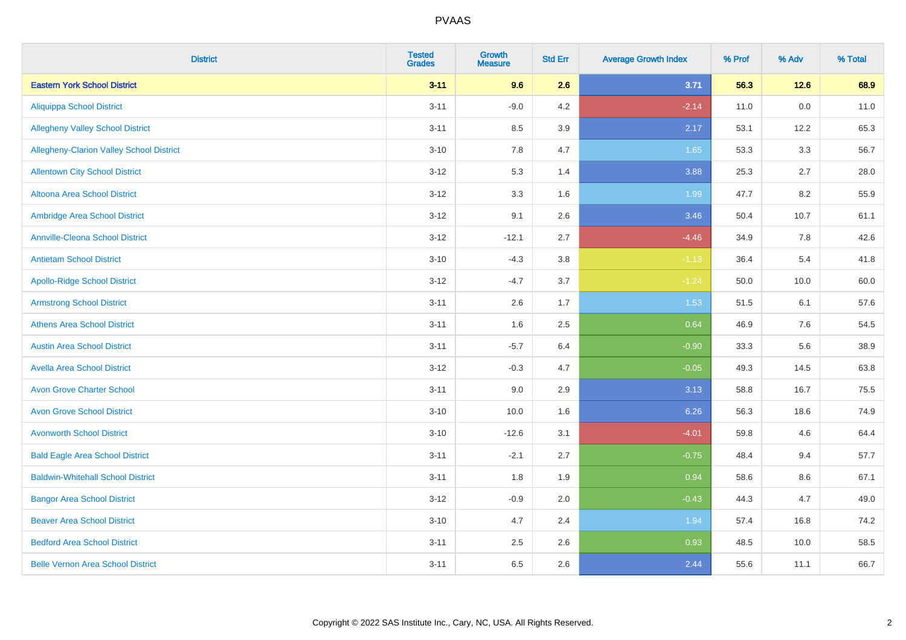| <b>District</b>                          | <b>Tested</b><br><b>Grades</b> | <b>Growth</b><br><b>Measure</b> | <b>Std Err</b> | <b>Average Growth Index</b> | % Prof | % Adv   | % Total |
|------------------------------------------|--------------------------------|---------------------------------|----------------|-----------------------------|--------|---------|---------|
| <b>Eastern York School District</b>      | $3 - 11$                       | 9.6                             | 2.6            | 3.71                        | 56.3   | 12.6    | 68.9    |
| <b>Aliquippa School District</b>         | $3 - 11$                       | $-9.0$                          | 4.2            | $-2.14$                     | 11.0   | $0.0\,$ | 11.0    |
| <b>Allegheny Valley School District</b>  | $3 - 11$                       | 8.5                             | 3.9            | 2.17                        | 53.1   | 12.2    | 65.3    |
| Allegheny-Clarion Valley School District | $3 - 10$                       | 7.8                             | 4.7            | 1.65                        | 53.3   | 3.3     | 56.7    |
| <b>Allentown City School District</b>    | $3 - 12$                       | 5.3                             | 1.4            | 3.88                        | 25.3   | 2.7     | 28.0    |
| <b>Altoona Area School District</b>      | $3 - 12$                       | 3.3                             | 1.6            | 1.99                        | 47.7   | 8.2     | 55.9    |
| Ambridge Area School District            | $3 - 12$                       | 9.1                             | 2.6            | 3.46                        | 50.4   | 10.7    | 61.1    |
| <b>Annville-Cleona School District</b>   | $3 - 12$                       | $-12.1$                         | 2.7            | $-4.46$                     | 34.9   | 7.8     | 42.6    |
| <b>Antietam School District</b>          | $3 - 10$                       | $-4.3$                          | 3.8            | $-1.13$                     | 36.4   | 5.4     | 41.8    |
| <b>Apollo-Ridge School District</b>      | $3 - 12$                       | $-4.7$                          | 3.7            | $-1.24$                     | 50.0   | 10.0    | 60.0    |
| <b>Armstrong School District</b>         | $3 - 11$                       | 2.6                             | 1.7            | 1.53                        | 51.5   | 6.1     | 57.6    |
| <b>Athens Area School District</b>       | $3 - 11$                       | 1.6                             | 2.5            | 0.64                        | 46.9   | 7.6     | 54.5    |
| <b>Austin Area School District</b>       | $3 - 11$                       | $-5.7$                          | 6.4            | $-0.90$                     | 33.3   | 5.6     | 38.9    |
| <b>Avella Area School District</b>       | $3 - 12$                       | $-0.3$                          | 4.7            | $-0.05$                     | 49.3   | 14.5    | 63.8    |
| <b>Avon Grove Charter School</b>         | $3 - 11$                       | 9.0                             | 2.9            | 3.13                        | 58.8   | 16.7    | 75.5    |
| <b>Avon Grove School District</b>        | $3 - 10$                       | 10.0                            | 1.6            | 6.26                        | 56.3   | 18.6    | 74.9    |
| <b>Avonworth School District</b>         | $3 - 10$                       | $-12.6$                         | 3.1            | $-4.01$                     | 59.8   | 4.6     | 64.4    |
| <b>Bald Eagle Area School District</b>   | $3 - 11$                       | $-2.1$                          | 2.7            | $-0.75$                     | 48.4   | 9.4     | 57.7    |
| <b>Baldwin-Whitehall School District</b> | $3 - 11$                       | 1.8                             | 1.9            | 0.94                        | 58.6   | 8.6     | 67.1    |
| <b>Bangor Area School District</b>       | $3 - 12$                       | $-0.9$                          | 2.0            | $-0.43$                     | 44.3   | 4.7     | 49.0    |
| <b>Beaver Area School District</b>       | $3 - 10$                       | 4.7                             | 2.4            | 1.94                        | 57.4   | 16.8    | 74.2    |
| <b>Bedford Area School District</b>      | $3 - 11$                       | 2.5                             | 2.6            | 0.93                        | 48.5   | 10.0    | 58.5    |
| <b>Belle Vernon Area School District</b> | $3 - 11$                       | 6.5                             | 2.6            | 2.44                        | 55.6   | 11.1    | 66.7    |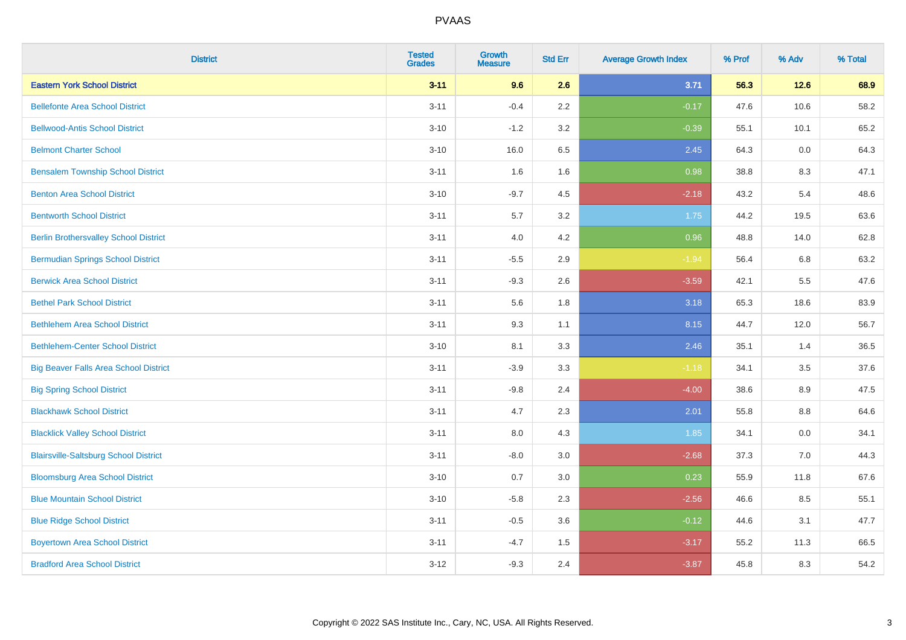| <b>District</b>                              | <b>Tested</b><br><b>Grades</b> | <b>Growth</b><br><b>Measure</b> | <b>Std Err</b> | <b>Average Growth Index</b> | % Prof | % Adv | % Total |
|----------------------------------------------|--------------------------------|---------------------------------|----------------|-----------------------------|--------|-------|---------|
| <b>Eastern York School District</b>          | $3 - 11$                       | 9.6                             | 2.6            | 3.71                        | 56.3   | 12.6  | 68.9    |
| <b>Bellefonte Area School District</b>       | $3 - 11$                       | $-0.4$                          | 2.2            | $-0.17$                     | 47.6   | 10.6  | 58.2    |
| <b>Bellwood-Antis School District</b>        | $3 - 10$                       | $-1.2$                          | 3.2            | $-0.39$                     | 55.1   | 10.1  | 65.2    |
| <b>Belmont Charter School</b>                | $3 - 10$                       | 16.0                            | 6.5            | 2.45                        | 64.3   | 0.0   | 64.3    |
| <b>Bensalem Township School District</b>     | $3 - 11$                       | 1.6                             | 1.6            | 0.98                        | 38.8   | 8.3   | 47.1    |
| <b>Benton Area School District</b>           | $3 - 10$                       | $-9.7$                          | 4.5            | $-2.18$                     | 43.2   | 5.4   | 48.6    |
| <b>Bentworth School District</b>             | $3 - 11$                       | $5.7\,$                         | 3.2            | 1.75                        | 44.2   | 19.5  | 63.6    |
| <b>Berlin Brothersvalley School District</b> | $3 - 11$                       | 4.0                             | 4.2            | 0.96                        | 48.8   | 14.0  | 62.8    |
| <b>Bermudian Springs School District</b>     | $3 - 11$                       | $-5.5$                          | 2.9            | $-1.94$                     | 56.4   | 6.8   | 63.2    |
| <b>Berwick Area School District</b>          | $3 - 11$                       | $-9.3$                          | 2.6            | $-3.59$                     | 42.1   | 5.5   | 47.6    |
| <b>Bethel Park School District</b>           | $3 - 11$                       | 5.6                             | 1.8            | 3.18                        | 65.3   | 18.6  | 83.9    |
| <b>Bethlehem Area School District</b>        | $3 - 11$                       | 9.3                             | 1.1            | 8.15                        | 44.7   | 12.0  | 56.7    |
| <b>Bethlehem-Center School District</b>      | $3 - 10$                       | 8.1                             | 3.3            | 2.46                        | 35.1   | 1.4   | 36.5    |
| <b>Big Beaver Falls Area School District</b> | $3 - 11$                       | $-3.9$                          | 3.3            | $-1.18$                     | 34.1   | 3.5   | 37.6    |
| <b>Big Spring School District</b>            | $3 - 11$                       | $-9.8$                          | 2.4            | $-4.00$                     | 38.6   | 8.9   | 47.5    |
| <b>Blackhawk School District</b>             | $3 - 11$                       | 4.7                             | 2.3            | 2.01                        | 55.8   | 8.8   | 64.6    |
| <b>Blacklick Valley School District</b>      | $3 - 11$                       | 8.0                             | 4.3            | 1.85                        | 34.1   | 0.0   | 34.1    |
| <b>Blairsville-Saltsburg School District</b> | $3 - 11$                       | $-8.0$                          | 3.0            | $-2.68$                     | 37.3   | 7.0   | 44.3    |
| <b>Bloomsburg Area School District</b>       | $3 - 10$                       | 0.7                             | 3.0            | 0.23                        | 55.9   | 11.8  | 67.6    |
| <b>Blue Mountain School District</b>         | $3 - 10$                       | $-5.8$                          | 2.3            | $-2.56$                     | 46.6   | 8.5   | 55.1    |
| <b>Blue Ridge School District</b>            | $3 - 11$                       | $-0.5$                          | 3.6            | $-0.12$                     | 44.6   | 3.1   | 47.7    |
| <b>Boyertown Area School District</b>        | $3 - 11$                       | $-4.7$                          | 1.5            | $-3.17$                     | 55.2   | 11.3  | 66.5    |
| <b>Bradford Area School District</b>         | $3 - 12$                       | $-9.3$                          | 2.4            | $-3.87$                     | 45.8   | 8.3   | 54.2    |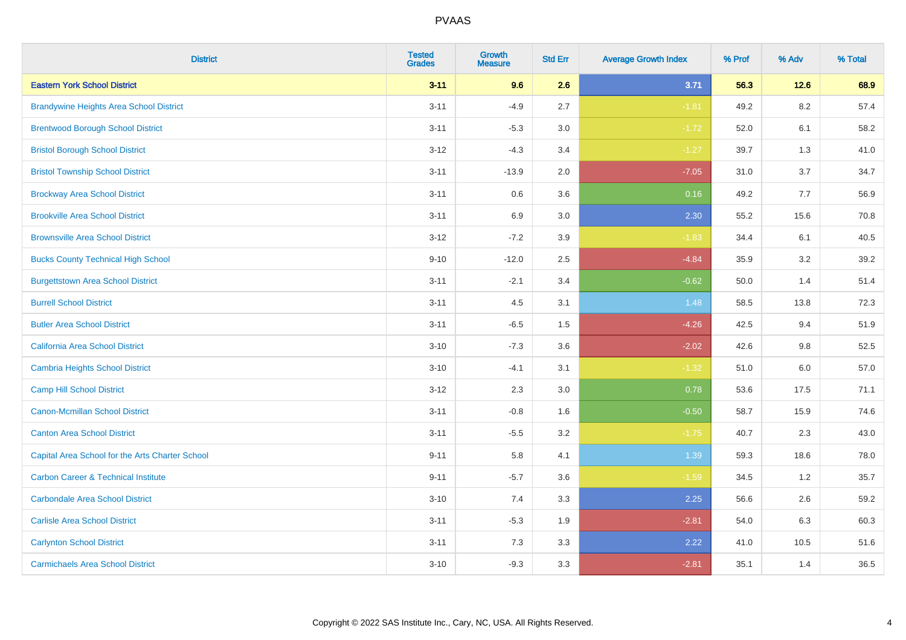| <b>District</b>                                 | <b>Tested</b><br><b>Grades</b> | <b>Growth</b><br><b>Measure</b> | <b>Std Err</b> | <b>Average Growth Index</b> | % Prof | % Adv   | % Total |
|-------------------------------------------------|--------------------------------|---------------------------------|----------------|-----------------------------|--------|---------|---------|
| <b>Eastern York School District</b>             | $3 - 11$                       | 9.6                             | 2.6            | 3.71                        | 56.3   | $12.6$  | 68.9    |
| <b>Brandywine Heights Area School District</b>  | $3 - 11$                       | $-4.9$                          | 2.7            | $-1.81$                     | 49.2   | 8.2     | 57.4    |
| <b>Brentwood Borough School District</b>        | $3 - 11$                       | $-5.3$                          | 3.0            | $-1.72$                     | 52.0   | 6.1     | 58.2    |
| <b>Bristol Borough School District</b>          | $3 - 12$                       | $-4.3$                          | 3.4            | $-1.27$                     | 39.7   | 1.3     | 41.0    |
| <b>Bristol Township School District</b>         | $3 - 11$                       | $-13.9$                         | 2.0            | $-7.05$                     | 31.0   | 3.7     | 34.7    |
| <b>Brockway Area School District</b>            | $3 - 11$                       | 0.6                             | 3.6            | 0.16                        | 49.2   | 7.7     | 56.9    |
| <b>Brookville Area School District</b>          | $3 - 11$                       | 6.9                             | 3.0            | 2.30                        | 55.2   | 15.6    | 70.8    |
| <b>Brownsville Area School District</b>         | $3 - 12$                       | $-7.2$                          | 3.9            | $-1.83$                     | 34.4   | 6.1     | 40.5    |
| <b>Bucks County Technical High School</b>       | $9 - 10$                       | $-12.0$                         | 2.5            | $-4.84$                     | 35.9   | 3.2     | 39.2    |
| <b>Burgettstown Area School District</b>        | $3 - 11$                       | $-2.1$                          | 3.4            | $-0.62$                     | 50.0   | 1.4     | 51.4    |
| <b>Burrell School District</b>                  | $3 - 11$                       | 4.5                             | 3.1            | 1.48                        | 58.5   | 13.8    | 72.3    |
| <b>Butler Area School District</b>              | $3 - 11$                       | $-6.5$                          | 1.5            | $-4.26$                     | 42.5   | 9.4     | 51.9    |
| California Area School District                 | $3 - 10$                       | $-7.3$                          | 3.6            | $-2.02$                     | 42.6   | 9.8     | 52.5    |
| <b>Cambria Heights School District</b>          | $3 - 10$                       | $-4.1$                          | 3.1            | $-1.32$                     | 51.0   | $6.0\,$ | 57.0    |
| <b>Camp Hill School District</b>                | $3 - 12$                       | 2.3                             | 3.0            | 0.78                        | 53.6   | 17.5    | 71.1    |
| Canon-Mcmillan School District                  | $3 - 11$                       | $-0.8$                          | 1.6            | $-0.50$                     | 58.7   | 15.9    | 74.6    |
| <b>Canton Area School District</b>              | $3 - 11$                       | $-5.5$                          | 3.2            | $-1.75$                     | 40.7   | 2.3     | 43.0    |
| Capital Area School for the Arts Charter School | $9 - 11$                       | 5.8                             | 4.1            | 1.39                        | 59.3   | 18.6    | 78.0    |
| <b>Carbon Career &amp; Technical Institute</b>  | $9 - 11$                       | $-5.7$                          | 3.6            | $-1.59$                     | 34.5   | 1.2     | 35.7    |
| <b>Carbondale Area School District</b>          | $3 - 10$                       | 7.4                             | 3.3            | 2.25                        | 56.6   | 2.6     | 59.2    |
| <b>Carlisle Area School District</b>            | $3 - 11$                       | $-5.3$                          | 1.9            | $-2.81$                     | 54.0   | 6.3     | 60.3    |
| <b>Carlynton School District</b>                | $3 - 11$                       | 7.3                             | 3.3            | 2.22                        | 41.0   | 10.5    | 51.6    |
| <b>Carmichaels Area School District</b>         | $3 - 10$                       | $-9.3$                          | 3.3            | $-2.81$                     | 35.1   | 1.4     | 36.5    |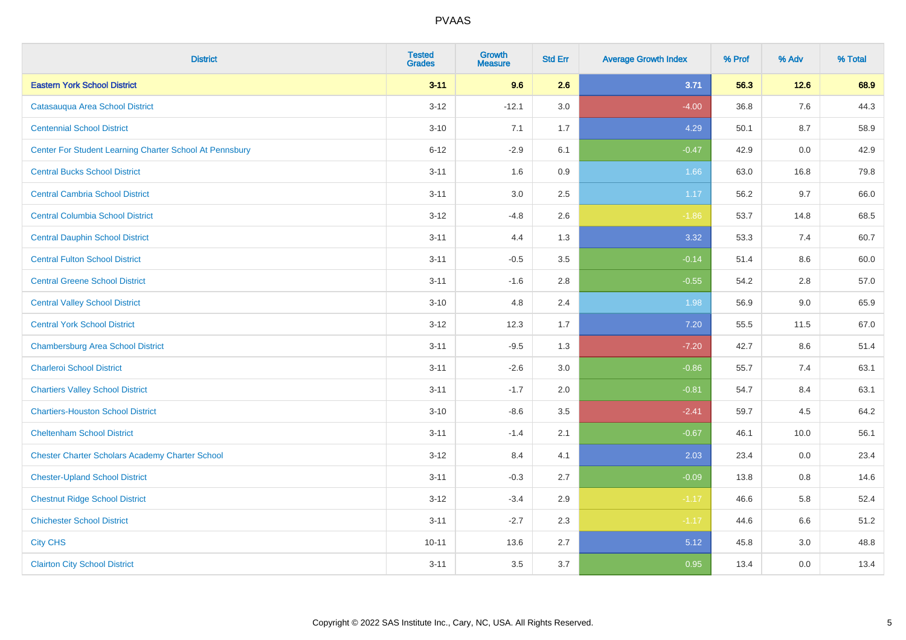| <b>District</b>                                         | <b>Tested</b><br><b>Grades</b> | <b>Growth</b><br><b>Measure</b> | <b>Std Err</b> | <b>Average Growth Index</b> | % Prof | % Adv  | % Total |
|---------------------------------------------------------|--------------------------------|---------------------------------|----------------|-----------------------------|--------|--------|---------|
| <b>Eastern York School District</b>                     | $3 - 11$                       | 9.6                             | 2.6            | 3.71                        | 56.3   | $12.6$ | 68.9    |
| Catasauqua Area School District                         | $3 - 12$                       | $-12.1$                         | 3.0            | $-4.00$                     | 36.8   | 7.6    | 44.3    |
| <b>Centennial School District</b>                       | $3 - 10$                       | 7.1                             | 1.7            | 4.29                        | 50.1   | 8.7    | 58.9    |
| Center For Student Learning Charter School At Pennsbury | $6 - 12$                       | $-2.9$                          | 6.1            | $-0.47$                     | 42.9   | 0.0    | 42.9    |
| <b>Central Bucks School District</b>                    | $3 - 11$                       | 1.6                             | 0.9            | 1.66                        | 63.0   | 16.8   | 79.8    |
| <b>Central Cambria School District</b>                  | $3 - 11$                       | 3.0                             | 2.5            | 1.17                        | 56.2   | 9.7    | 66.0    |
| <b>Central Columbia School District</b>                 | $3 - 12$                       | $-4.8$                          | 2.6            | $-1.86$                     | 53.7   | 14.8   | 68.5    |
| <b>Central Dauphin School District</b>                  | $3 - 11$                       | 4.4                             | 1.3            | 3.32                        | 53.3   | 7.4    | 60.7    |
| <b>Central Fulton School District</b>                   | $3 - 11$                       | $-0.5$                          | 3.5            | $-0.14$                     | 51.4   | 8.6    | 60.0    |
| <b>Central Greene School District</b>                   | $3 - 11$                       | $-1.6$                          | 2.8            | $-0.55$                     | 54.2   | 2.8    | 57.0    |
| <b>Central Valley School District</b>                   | $3 - 10$                       | 4.8                             | 2.4            | 1.98                        | 56.9   | 9.0    | 65.9    |
| <b>Central York School District</b>                     | $3 - 12$                       | 12.3                            | 1.7            | 7.20                        | 55.5   | 11.5   | 67.0    |
| <b>Chambersburg Area School District</b>                | $3 - 11$                       | $-9.5$                          | 1.3            | $-7.20$                     | 42.7   | 8.6    | 51.4    |
| <b>Charleroi School District</b>                        | $3 - 11$                       | $-2.6$                          | 3.0            | $-0.86$                     | 55.7   | 7.4    | 63.1    |
| <b>Chartiers Valley School District</b>                 | $3 - 11$                       | $-1.7$                          | 2.0            | $-0.81$                     | 54.7   | 8.4    | 63.1    |
| <b>Chartiers-Houston School District</b>                | $3 - 10$                       | $-8.6$                          | 3.5            | $-2.41$                     | 59.7   | 4.5    | 64.2    |
| <b>Cheltenham School District</b>                       | $3 - 11$                       | $-1.4$                          | 2.1            | $-0.67$                     | 46.1   | 10.0   | 56.1    |
| <b>Chester Charter Scholars Academy Charter School</b>  | $3 - 12$                       | 8.4                             | 4.1            | 2.03                        | 23.4   | 0.0    | 23.4    |
| <b>Chester-Upland School District</b>                   | $3 - 11$                       | $-0.3$                          | 2.7            | $-0.09$                     | 13.8   | 0.8    | 14.6    |
| <b>Chestnut Ridge School District</b>                   | $3 - 12$                       | $-3.4$                          | 2.9            | $-1.17$                     | 46.6   | 5.8    | 52.4    |
| <b>Chichester School District</b>                       | $3 - 11$                       | $-2.7$                          | 2.3            | $-1.17$                     | 44.6   | 6.6    | 51.2    |
| <b>City CHS</b>                                         | $10 - 11$                      | 13.6                            | 2.7            | 5.12                        | 45.8   | 3.0    | 48.8    |
| <b>Clairton City School District</b>                    | $3 - 11$                       | 3.5                             | 3.7            | 0.95                        | 13.4   | 0.0    | 13.4    |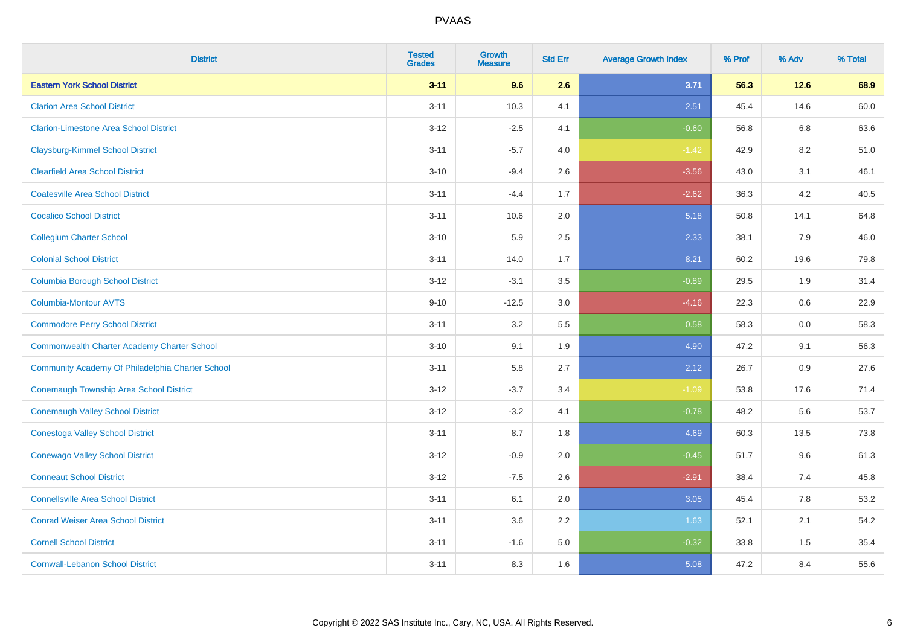| <b>District</b>                                    | <b>Tested</b><br><b>Grades</b> | <b>Growth</b><br><b>Measure</b> | <b>Std Err</b> | <b>Average Growth Index</b> | % Prof | % Adv | % Total |
|----------------------------------------------------|--------------------------------|---------------------------------|----------------|-----------------------------|--------|-------|---------|
| <b>Eastern York School District</b>                | $3 - 11$                       | 9.6                             | 2.6            | 3.71                        | 56.3   | 12.6  | 68.9    |
| <b>Clarion Area School District</b>                | $3 - 11$                       | 10.3                            | 4.1            | 2.51                        | 45.4   | 14.6  | 60.0    |
| <b>Clarion-Limestone Area School District</b>      | $3 - 12$                       | $-2.5$                          | 4.1            | $-0.60$                     | 56.8   | 6.8   | 63.6    |
| <b>Claysburg-Kimmel School District</b>            | $3 - 11$                       | $-5.7$                          | 4.0            | $-1.42$                     | 42.9   | 8.2   | 51.0    |
| <b>Clearfield Area School District</b>             | $3 - 10$                       | $-9.4$                          | 2.6            | $-3.56$                     | 43.0   | 3.1   | 46.1    |
| <b>Coatesville Area School District</b>            | $3 - 11$                       | $-4.4$                          | 1.7            | $-2.62$                     | 36.3   | 4.2   | 40.5    |
| <b>Cocalico School District</b>                    | $3 - 11$                       | 10.6                            | 2.0            | 5.18                        | 50.8   | 14.1  | 64.8    |
| <b>Collegium Charter School</b>                    | $3 - 10$                       | 5.9                             | 2.5            | 2.33                        | 38.1   | 7.9   | 46.0    |
| <b>Colonial School District</b>                    | $3 - 11$                       | 14.0                            | 1.7            | 8.21                        | 60.2   | 19.6  | 79.8    |
| <b>Columbia Borough School District</b>            | $3-12$                         | $-3.1$                          | 3.5            | $-0.89$                     | 29.5   | 1.9   | 31.4    |
| <b>Columbia-Montour AVTS</b>                       | $9 - 10$                       | $-12.5$                         | 3.0            | $-4.16$                     | 22.3   | 0.6   | 22.9    |
| <b>Commodore Perry School District</b>             | $3 - 11$                       | 3.2                             | 5.5            | 0.58                        | 58.3   | 0.0   | 58.3    |
| <b>Commonwealth Charter Academy Charter School</b> | $3 - 10$                       | 9.1                             | 1.9            | 4.90                        | 47.2   | 9.1   | 56.3    |
| Community Academy Of Philadelphia Charter School   | $3 - 11$                       | 5.8                             | 2.7            | 2.12                        | 26.7   | 0.9   | 27.6    |
| <b>Conemaugh Township Area School District</b>     | $3 - 12$                       | $-3.7$                          | 3.4            | $-1.09$                     | 53.8   | 17.6  | 71.4    |
| <b>Conemaugh Valley School District</b>            | $3 - 12$                       | $-3.2$                          | 4.1            | $-0.78$                     | 48.2   | 5.6   | 53.7    |
| <b>Conestoga Valley School District</b>            | $3 - 11$                       | 8.7                             | 1.8            | 4.69                        | 60.3   | 13.5  | 73.8    |
| <b>Conewago Valley School District</b>             | $3 - 12$                       | $-0.9$                          | 2.0            | $-0.45$                     | 51.7   | 9.6   | 61.3    |
| <b>Conneaut School District</b>                    | $3 - 12$                       | $-7.5$                          | 2.6            | $-2.91$                     | 38.4   | 7.4   | 45.8    |
| <b>Connellsville Area School District</b>          | $3 - 11$                       | 6.1                             | 2.0            | 3.05                        | 45.4   | 7.8   | 53.2    |
| <b>Conrad Weiser Area School District</b>          | $3 - 11$                       | 3.6                             | 2.2            | 1.63                        | 52.1   | 2.1   | 54.2    |
| <b>Cornell School District</b>                     | $3 - 11$                       | $-1.6$                          | 5.0            | $-0.32$                     | 33.8   | 1.5   | 35.4    |
| <b>Cornwall-Lebanon School District</b>            | $3 - 11$                       | 8.3                             | 1.6            | 5.08                        | 47.2   | 8.4   | 55.6    |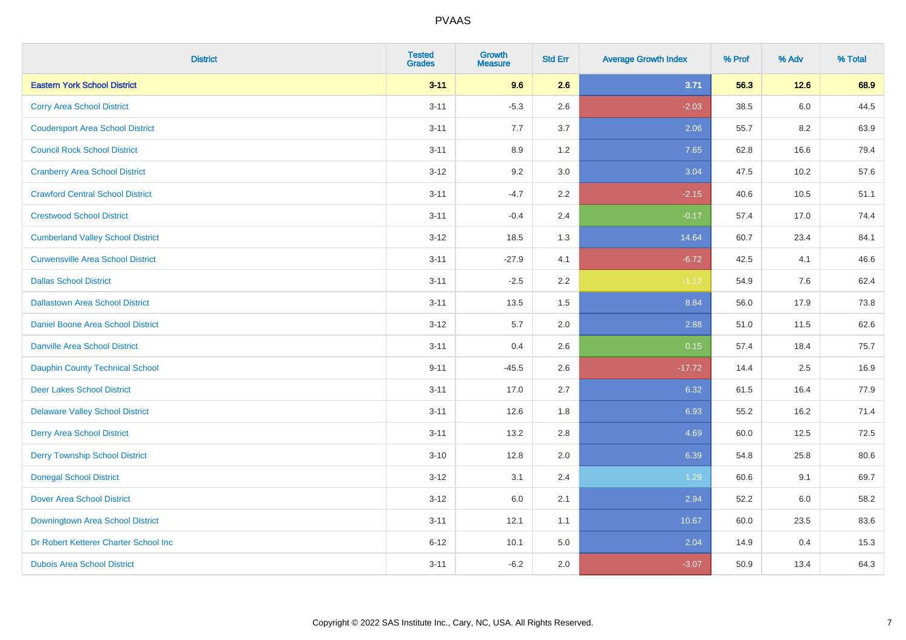| <b>District</b>                          | <b>Tested</b><br><b>Grades</b> | <b>Growth</b><br><b>Measure</b> | <b>Std Err</b> | <b>Average Growth Index</b> | % Prof | % Adv | % Total |
|------------------------------------------|--------------------------------|---------------------------------|----------------|-----------------------------|--------|-------|---------|
| <b>Eastern York School District</b>      | $3 - 11$                       | 9.6                             | 2.6            | 3.71                        | 56.3   | 12.6  | 68.9    |
| <b>Corry Area School District</b>        | $3 - 11$                       | $-5.3$                          | 2.6            | $-2.03$                     | 38.5   | 6.0   | 44.5    |
| <b>Coudersport Area School District</b>  | $3 - 11$                       | 7.7                             | 3.7            | 2.06                        | 55.7   | 8.2   | 63.9    |
| <b>Council Rock School District</b>      | $3 - 11$                       | 8.9                             | 1.2            | 7.65                        | 62.8   | 16.6  | 79.4    |
| <b>Cranberry Area School District</b>    | $3-12$                         | 9.2                             | 3.0            | 3.04                        | 47.5   | 10.2  | 57.6    |
| <b>Crawford Central School District</b>  | $3 - 11$                       | $-4.7$                          | 2.2            | $-2.15$                     | 40.6   | 10.5  | 51.1    |
| <b>Crestwood School District</b>         | $3 - 11$                       | $-0.4$                          | 2.4            | $-0.17$                     | 57.4   | 17.0  | 74.4    |
| <b>Cumberland Valley School District</b> | $3 - 12$                       | 18.5                            | 1.3            | 14.64                       | 60.7   | 23.4  | 84.1    |
| <b>Curwensville Area School District</b> | $3 - 11$                       | $-27.9$                         | 4.1            | $-6.72$                     | 42.5   | 4.1   | 46.6    |
| <b>Dallas School District</b>            | $3 - 11$                       | $-2.5$                          | 2.2            | $-1.12$                     | 54.9   | 7.6   | 62.4    |
| <b>Dallastown Area School District</b>   | $3 - 11$                       | 13.5                            | 1.5            | 8.84                        | 56.0   | 17.9  | 73.8    |
| Daniel Boone Area School District        | $3 - 12$                       | 5.7                             | 2.0            | 2.88                        | 51.0   | 11.5  | 62.6    |
| <b>Danville Area School District</b>     | $3 - 11$                       | 0.4                             | 2.6            | 0.15                        | 57.4   | 18.4  | 75.7    |
| <b>Dauphin County Technical School</b>   | $9 - 11$                       | $-45.5$                         | 2.6            | $-17.72$                    | 14.4   | 2.5   | 16.9    |
| <b>Deer Lakes School District</b>        | $3 - 11$                       | 17.0                            | 2.7            | 6.32                        | 61.5   | 16.4  | 77.9    |
| <b>Delaware Valley School District</b>   | $3 - 11$                       | 12.6                            | 1.8            | 6.93                        | 55.2   | 16.2  | 71.4    |
| <b>Derry Area School District</b>        | $3 - 11$                       | 13.2                            | 2.8            | 4.69                        | 60.0   | 12.5  | 72.5    |
| <b>Derry Township School District</b>    | $3 - 10$                       | 12.8                            | 2.0            | 6.39                        | 54.8   | 25.8  | 80.6    |
| <b>Donegal School District</b>           | $3 - 12$                       | 3.1                             | 2.4            | 1.29                        | 60.6   | 9.1   | 69.7    |
| <b>Dover Area School District</b>        | $3-12$                         | $6.0\,$                         | 2.1            | 2.94                        | 52.2   | 6.0   | 58.2    |
| <b>Downingtown Area School District</b>  | $3 - 11$                       | 12.1                            | 1.1            | 10.67                       | 60.0   | 23.5  | 83.6    |
| Dr Robert Ketterer Charter School Inc    | $6 - 12$                       | 10.1                            | 5.0            | 2.04                        | 14.9   | 0.4   | 15.3    |
| <b>Dubois Area School District</b>       | $3 - 11$                       | $-6.2$                          | 2.0            | $-3.07$                     | 50.9   | 13.4  | 64.3    |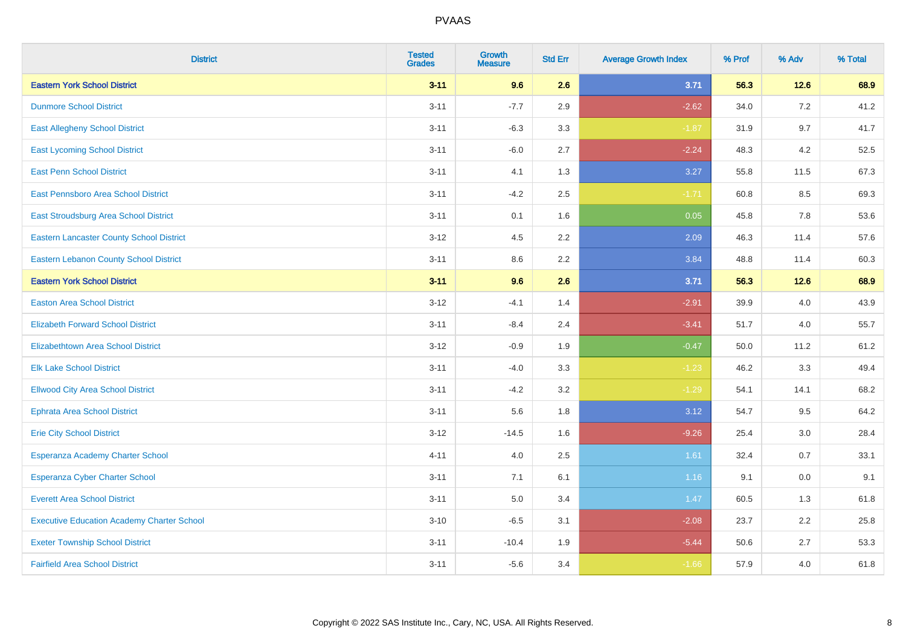| <b>District</b>                                   | <b>Tested</b><br><b>Grades</b> | <b>Growth</b><br><b>Measure</b> | <b>Std Err</b> | <b>Average Growth Index</b> | % Prof | % Adv   | % Total |
|---------------------------------------------------|--------------------------------|---------------------------------|----------------|-----------------------------|--------|---------|---------|
| <b>Eastern York School District</b>               | $3 - 11$                       | 9.6                             | 2.6            | 3.71                        | 56.3   | $12.6$  | 68.9    |
| <b>Dunmore School District</b>                    | $3 - 11$                       | $-7.7$                          | 2.9            | $-2.62$                     | 34.0   | 7.2     | 41.2    |
| <b>East Allegheny School District</b>             | $3 - 11$                       | $-6.3$                          | 3.3            | $-1.87$                     | 31.9   | 9.7     | 41.7    |
| <b>East Lycoming School District</b>              | $3 - 11$                       | $-6.0$                          | 2.7            | $-2.24$                     | 48.3   | 4.2     | 52.5    |
| <b>East Penn School District</b>                  | $3 - 11$                       | 4.1                             | 1.3            | 3.27                        | 55.8   | 11.5    | 67.3    |
| East Pennsboro Area School District               | $3 - 11$                       | $-4.2$                          | 2.5            | $-1.71$                     | 60.8   | 8.5     | 69.3    |
| <b>East Stroudsburg Area School District</b>      | $3 - 11$                       | 0.1                             | 1.6            | 0.05                        | 45.8   | 7.8     | 53.6    |
| <b>Eastern Lancaster County School District</b>   | $3 - 12$                       | 4.5                             | 2.2            | 2.09                        | 46.3   | 11.4    | 57.6    |
| <b>Eastern Lebanon County School District</b>     | $3 - 11$                       | 8.6                             | 2.2            | 3.84                        | 48.8   | 11.4    | 60.3    |
| <b>Eastern York School District</b>               | $3 - 11$                       | 9.6                             | 2.6            | 3.71                        | 56.3   | 12.6    | 68.9    |
| <b>Easton Area School District</b>                | $3 - 12$                       | $-4.1$                          | 1.4            | $-2.91$                     | 39.9   | 4.0     | 43.9    |
| <b>Elizabeth Forward School District</b>          | $3 - 11$                       | $-8.4$                          | 2.4            | $-3.41$                     | 51.7   | 4.0     | 55.7    |
| Elizabethtown Area School District                | $3 - 12$                       | $-0.9$                          | 1.9            | $-0.47$                     | 50.0   | 11.2    | 61.2    |
| <b>Elk Lake School District</b>                   | $3 - 11$                       | $-4.0$                          | 3.3            | $-1.23$                     | 46.2   | 3.3     | 49.4    |
| <b>Ellwood City Area School District</b>          | $3 - 11$                       | $-4.2$                          | 3.2            | $-1.29$                     | 54.1   | 14.1    | 68.2    |
| <b>Ephrata Area School District</b>               | $3 - 11$                       | 5.6                             | 1.8            | 3.12                        | 54.7   | 9.5     | 64.2    |
| <b>Erie City School District</b>                  | $3 - 12$                       | $-14.5$                         | 1.6            | $-9.26$                     | 25.4   | 3.0     | 28.4    |
| Esperanza Academy Charter School                  | $4 - 11$                       | 4.0                             | 2.5            | 1.61                        | 32.4   | 0.7     | 33.1    |
| <b>Esperanza Cyber Charter School</b>             | $3 - 11$                       | 7.1                             | 6.1            | 1.16                        | 9.1    | $0.0\,$ | 9.1     |
| <b>Everett Area School District</b>               | $3 - 11$                       | 5.0                             | 3.4            | 1.47                        | 60.5   | 1.3     | 61.8    |
| <b>Executive Education Academy Charter School</b> | $3 - 10$                       | $-6.5$                          | 3.1            | $-2.08$                     | 23.7   | 2.2     | 25.8    |
| <b>Exeter Township School District</b>            | $3 - 11$                       | $-10.4$                         | 1.9            | $-5.44$                     | 50.6   | 2.7     | 53.3    |
| <b>Fairfield Area School District</b>             | $3 - 11$                       | $-5.6$                          | 3.4            | $-1.66$                     | 57.9   | 4.0     | 61.8    |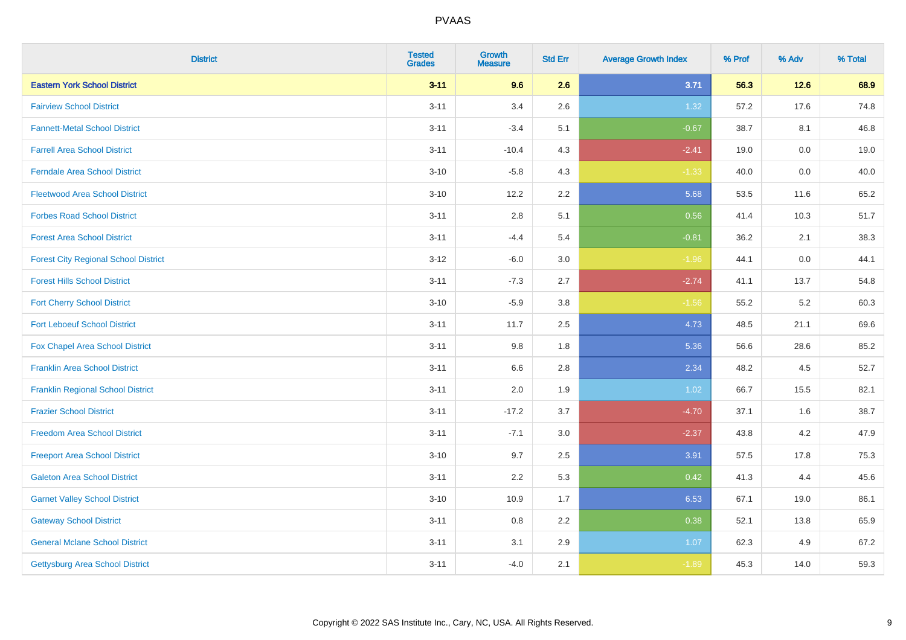| <b>District</b>                             | <b>Tested</b><br><b>Grades</b> | <b>Growth</b><br><b>Measure</b> | <b>Std Err</b> | <b>Average Growth Index</b> | % Prof | % Adv | % Total |
|---------------------------------------------|--------------------------------|---------------------------------|----------------|-----------------------------|--------|-------|---------|
| <b>Eastern York School District</b>         | $3 - 11$                       | 9.6                             | 2.6            | 3.71                        | 56.3   | 12.6  | 68.9    |
| <b>Fairview School District</b>             | $3 - 11$                       | 3.4                             | 2.6            | 1.32                        | 57.2   | 17.6  | 74.8    |
| <b>Fannett-Metal School District</b>        | $3 - 11$                       | $-3.4$                          | 5.1            | $-0.67$                     | 38.7   | 8.1   | 46.8    |
| <b>Farrell Area School District</b>         | $3 - 11$                       | $-10.4$                         | 4.3            | $-2.41$                     | 19.0   | 0.0   | 19.0    |
| <b>Ferndale Area School District</b>        | $3 - 10$                       | $-5.8$                          | 4.3            | $-1.33$                     | 40.0   | 0.0   | 40.0    |
| <b>Fleetwood Area School District</b>       | $3 - 10$                       | 12.2                            | 2.2            | 5.68                        | 53.5   | 11.6  | 65.2    |
| <b>Forbes Road School District</b>          | $3 - 11$                       | 2.8                             | 5.1            | 0.56                        | 41.4   | 10.3  | 51.7    |
| <b>Forest Area School District</b>          | $3 - 11$                       | $-4.4$                          | 5.4            | $-0.81$                     | 36.2   | 2.1   | 38.3    |
| <b>Forest City Regional School District</b> | $3 - 12$                       | $-6.0$                          | 3.0            | $-1.96$                     | 44.1   | 0.0   | 44.1    |
| <b>Forest Hills School District</b>         | $3 - 11$                       | $-7.3$                          | 2.7            | $-2.74$                     | 41.1   | 13.7  | 54.8    |
| <b>Fort Cherry School District</b>          | $3 - 10$                       | $-5.9$                          | 3.8            | $-1.56$                     | 55.2   | 5.2   | 60.3    |
| <b>Fort Leboeuf School District</b>         | $3 - 11$                       | 11.7                            | 2.5            | 4.73                        | 48.5   | 21.1  | 69.6    |
| Fox Chapel Area School District             | $3 - 11$                       | $9.8\,$                         | 1.8            | 5.36                        | 56.6   | 28.6  | 85.2    |
| <b>Franklin Area School District</b>        | $3 - 11$                       | 6.6                             | 2.8            | 2.34                        | 48.2   | 4.5   | 52.7    |
| <b>Franklin Regional School District</b>    | $3 - 11$                       | 2.0                             | 1.9            | 1.02                        | 66.7   | 15.5  | 82.1    |
| <b>Frazier School District</b>              | $3 - 11$                       | $-17.2$                         | 3.7            | $-4.70$                     | 37.1   | 1.6   | 38.7    |
| <b>Freedom Area School District</b>         | $3 - 11$                       | $-7.1$                          | 3.0            | $-2.37$                     | 43.8   | 4.2   | 47.9    |
| <b>Freeport Area School District</b>        | $3 - 10$                       | 9.7                             | 2.5            | 3.91                        | 57.5   | 17.8  | 75.3    |
| <b>Galeton Area School District</b>         | $3 - 11$                       | 2.2                             | 5.3            | 0.42                        | 41.3   | 4.4   | 45.6    |
| <b>Garnet Valley School District</b>        | $3 - 10$                       | 10.9                            | 1.7            | 6.53                        | 67.1   | 19.0  | 86.1    |
| <b>Gateway School District</b>              | $3 - 11$                       | 0.8                             | 2.2            | 0.38                        | 52.1   | 13.8  | 65.9    |
| <b>General Mclane School District</b>       | $3 - 11$                       | 3.1                             | 2.9            | 1.07                        | 62.3   | 4.9   | 67.2    |
| <b>Gettysburg Area School District</b>      | $3 - 11$                       | $-4.0$                          | 2.1            | $-1.89$                     | 45.3   | 14.0  | 59.3    |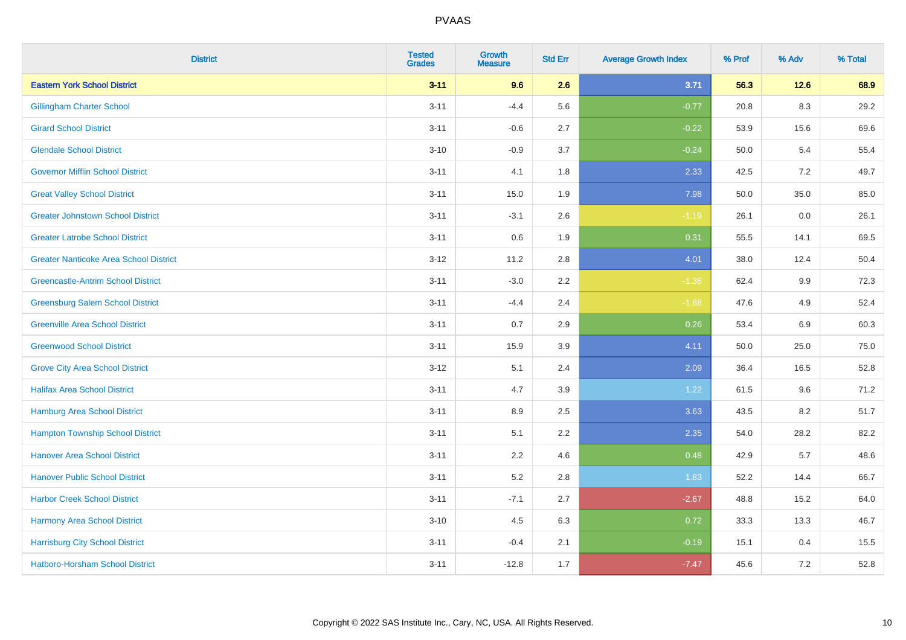| <b>District</b>                               | <b>Tested</b><br><b>Grades</b> | <b>Growth</b><br><b>Measure</b> | <b>Std Err</b> | <b>Average Growth Index</b> | % Prof | % Adv   | % Total |
|-----------------------------------------------|--------------------------------|---------------------------------|----------------|-----------------------------|--------|---------|---------|
| <b>Eastern York School District</b>           | $3 - 11$                       | 9.6                             | 2.6            | 3.71                        | 56.3   | $12.6$  | 68.9    |
| <b>Gillingham Charter School</b>              | $3 - 11$                       | $-4.4$                          | 5.6            | $-0.77$                     | 20.8   | 8.3     | 29.2    |
| <b>Girard School District</b>                 | $3 - 11$                       | $-0.6$                          | 2.7            | $-0.22$                     | 53.9   | 15.6    | 69.6    |
| <b>Glendale School District</b>               | $3 - 10$                       | $-0.9$                          | 3.7            | $-0.24$                     | 50.0   | 5.4     | 55.4    |
| <b>Governor Mifflin School District</b>       | $3 - 11$                       | 4.1                             | 1.8            | 2.33                        | 42.5   | 7.2     | 49.7    |
| <b>Great Valley School District</b>           | $3 - 11$                       | 15.0                            | 1.9            | 7.98                        | 50.0   | 35.0    | 85.0    |
| <b>Greater Johnstown School District</b>      | $3 - 11$                       | $-3.1$                          | 2.6            | $-1.19$                     | 26.1   | $0.0\,$ | 26.1    |
| <b>Greater Latrobe School District</b>        | $3 - 11$                       | 0.6                             | 1.9            | 0.31                        | 55.5   | 14.1    | 69.5    |
| <b>Greater Nanticoke Area School District</b> | $3-12$                         | 11.2                            | 2.8            | 4.01                        | 38.0   | 12.4    | 50.4    |
| <b>Greencastle-Antrim School District</b>     | $3 - 11$                       | $-3.0$                          | $2.2\,$        | $-1.36$                     | 62.4   | 9.9     | 72.3    |
| <b>Greensburg Salem School District</b>       | $3 - 11$                       | $-4.4$                          | 2.4            | $-1.88$                     | 47.6   | 4.9     | 52.4    |
| <b>Greenville Area School District</b>        | $3 - 11$                       | 0.7                             | 2.9            | 0.26                        | 53.4   | 6.9     | 60.3    |
| <b>Greenwood School District</b>              | $3 - 11$                       | 15.9                            | 3.9            | 4.11                        | 50.0   | 25.0    | 75.0    |
| <b>Grove City Area School District</b>        | $3-12$                         | 5.1                             | 2.4            | 2.09                        | 36.4   | 16.5    | 52.8    |
| <b>Halifax Area School District</b>           | $3 - 11$                       | 4.7                             | 3.9            | 1.22                        | 61.5   | 9.6     | 71.2    |
| <b>Hamburg Area School District</b>           | $3 - 11$                       | 8.9                             | 2.5            | 3.63                        | 43.5   | 8.2     | 51.7    |
| <b>Hampton Township School District</b>       | $3 - 11$                       | 5.1                             | 2.2            | 2.35                        | 54.0   | 28.2    | 82.2    |
| <b>Hanover Area School District</b>           | $3 - 11$                       | 2.2                             | 4.6            | 0.48                        | 42.9   | 5.7     | 48.6    |
| <b>Hanover Public School District</b>         | $3 - 11$                       | 5.2                             | 2.8            | 1.83                        | 52.2   | 14.4    | 66.7    |
| <b>Harbor Creek School District</b>           | $3 - 11$                       | $-7.1$                          | 2.7            | $-2.67$                     | 48.8   | 15.2    | 64.0    |
| Harmony Area School District                  | $3 - 10$                       | 4.5                             | 6.3            | 0.72                        | 33.3   | 13.3    | 46.7    |
| <b>Harrisburg City School District</b>        | $3 - 11$                       | $-0.4$                          | 2.1            | $-0.19$                     | 15.1   | 0.4     | 15.5    |
| Hatboro-Horsham School District               | $3 - 11$                       | $-12.8$                         | 1.7            | $-7.47$                     | 45.6   | $7.2\,$ | 52.8    |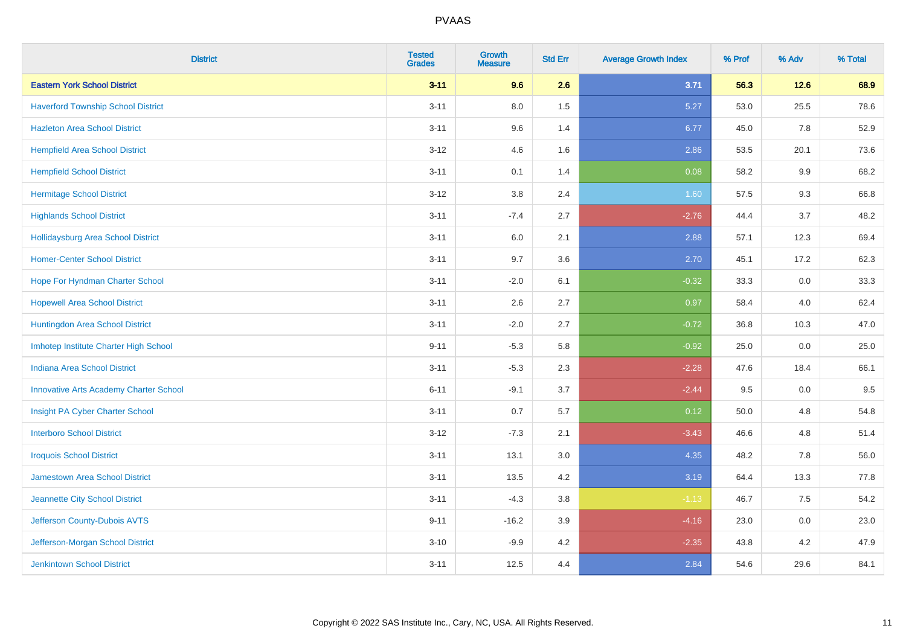| <b>District</b>                               | <b>Tested</b><br><b>Grades</b> | <b>Growth</b><br><b>Measure</b> | <b>Std Err</b> | <b>Average Growth Index</b> | % Prof | % Adv  | % Total |
|-----------------------------------------------|--------------------------------|---------------------------------|----------------|-----------------------------|--------|--------|---------|
| <b>Eastern York School District</b>           | $3 - 11$                       | 9.6                             | 2.6            | 3.71                        | 56.3   | $12.6$ | 68.9    |
| <b>Haverford Township School District</b>     | $3 - 11$                       | $8.0\,$                         | 1.5            | 5.27                        | 53.0   | 25.5   | 78.6    |
| <b>Hazleton Area School District</b>          | $3 - 11$                       | 9.6                             | 1.4            | 6.77                        | 45.0   | 7.8    | 52.9    |
| <b>Hempfield Area School District</b>         | $3 - 12$                       | 4.6                             | 1.6            | 2.86                        | 53.5   | 20.1   | 73.6    |
| <b>Hempfield School District</b>              | $3 - 11$                       | 0.1                             | 1.4            | 0.08                        | 58.2   | 9.9    | 68.2    |
| <b>Hermitage School District</b>              | $3 - 12$                       | 3.8                             | 2.4            | 1.60                        | 57.5   | 9.3    | 66.8    |
| <b>Highlands School District</b>              | $3 - 11$                       | $-7.4$                          | 2.7            | $-2.76$                     | 44.4   | 3.7    | 48.2    |
| <b>Hollidaysburg Area School District</b>     | $3 - 11$                       | $6.0\,$                         | 2.1            | 2.88                        | 57.1   | 12.3   | 69.4    |
| <b>Homer-Center School District</b>           | $3 - 11$                       | 9.7                             | 3.6            | 2.70                        | 45.1   | 17.2   | 62.3    |
| Hope For Hyndman Charter School               | $3 - 11$                       | $-2.0$                          | 6.1            | $-0.32$                     | 33.3   | 0.0    | 33.3    |
| <b>Hopewell Area School District</b>          | $3 - 11$                       | 2.6                             | 2.7            | 0.97                        | 58.4   | 4.0    | 62.4    |
| Huntingdon Area School District               | $3 - 11$                       | $-2.0$                          | 2.7            | $-0.72$                     | 36.8   | 10.3   | 47.0    |
| Imhotep Institute Charter High School         | $9 - 11$                       | $-5.3$                          | 5.8            | $-0.92$                     | 25.0   | 0.0    | 25.0    |
| <b>Indiana Area School District</b>           | $3 - 11$                       | $-5.3$                          | 2.3            | $-2.28$                     | 47.6   | 18.4   | 66.1    |
| <b>Innovative Arts Academy Charter School</b> | $6 - 11$                       | $-9.1$                          | 3.7            | $-2.44$                     | 9.5    | 0.0    | 9.5     |
| Insight PA Cyber Charter School               | $3 - 11$                       | 0.7                             | 5.7            | 0.12                        | 50.0   | 4.8    | 54.8    |
| <b>Interboro School District</b>              | $3 - 12$                       | $-7.3$                          | 2.1            | $-3.43$                     | 46.6   | 4.8    | 51.4    |
| <b>Iroquois School District</b>               | $3 - 11$                       | 13.1                            | 3.0            | 4.35                        | 48.2   | 7.8    | 56.0    |
| <b>Jamestown Area School District</b>         | $3 - 11$                       | 13.5                            | 4.2            | 3.19                        | 64.4   | 13.3   | 77.8    |
| Jeannette City School District                | $3 - 11$                       | $-4.3$                          | 3.8            | $-1.13$                     | 46.7   | 7.5    | 54.2    |
| Jefferson County-Dubois AVTS                  | $9 - 11$                       | $-16.2$                         | 3.9            | $-4.16$                     | 23.0   | 0.0    | 23.0    |
| Jefferson-Morgan School District              | $3 - 10$                       | $-9.9$                          | 4.2            | $-2.35$                     | 43.8   | 4.2    | 47.9    |
| <b>Jenkintown School District</b>             | $3 - 11$                       | 12.5                            | 4.4            | 2.84                        | 54.6   | 29.6   | 84.1    |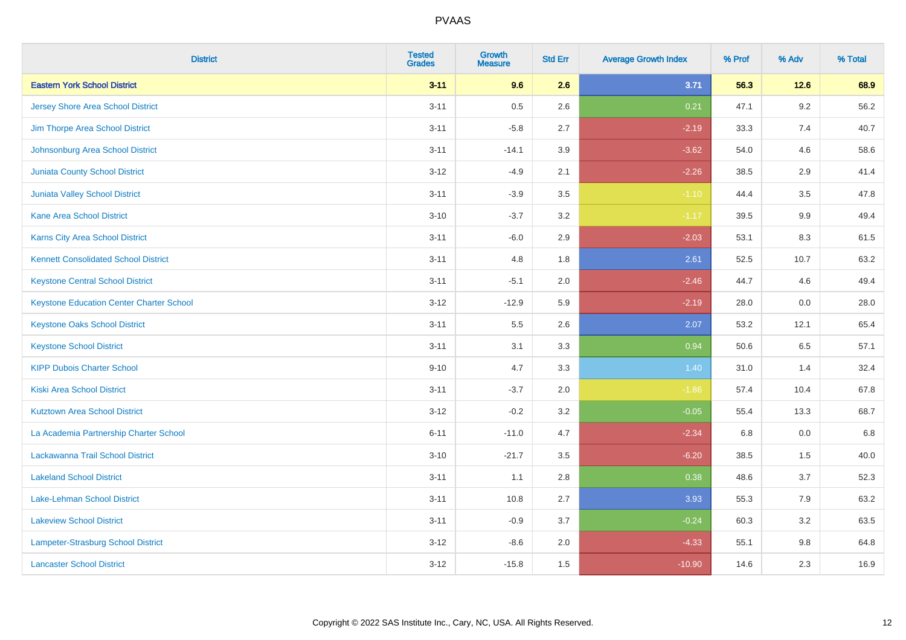| <b>District</b>                                 | <b>Tested</b><br><b>Grades</b> | <b>Growth</b><br><b>Measure</b> | <b>Std Err</b> | <b>Average Growth Index</b> | % Prof | % Adv   | % Total |
|-------------------------------------------------|--------------------------------|---------------------------------|----------------|-----------------------------|--------|---------|---------|
| <b>Eastern York School District</b>             | $3 - 11$                       | 9.6                             | 2.6            | 3.71                        | 56.3   | 12.6    | 68.9    |
| <b>Jersey Shore Area School District</b>        | $3 - 11$                       | $0.5\,$                         | 2.6            | 0.21                        | 47.1   | $9.2\,$ | 56.2    |
| Jim Thorpe Area School District                 | $3 - 11$                       | $-5.8$                          | 2.7            | $-2.19$                     | 33.3   | 7.4     | 40.7    |
| Johnsonburg Area School District                | $3 - 11$                       | $-14.1$                         | 3.9            | $-3.62$                     | 54.0   | 4.6     | 58.6    |
| <b>Juniata County School District</b>           | $3 - 12$                       | $-4.9$                          | 2.1            | $-2.26$                     | 38.5   | 2.9     | 41.4    |
| Juniata Valley School District                  | $3 - 11$                       | $-3.9$                          | 3.5            | $-1.10$                     | 44.4   | 3.5     | 47.8    |
| <b>Kane Area School District</b>                | $3 - 10$                       | $-3.7$                          | 3.2            | $-1.17$                     | 39.5   | 9.9     | 49.4    |
| <b>Karns City Area School District</b>          | $3 - 11$                       | $-6.0$                          | 2.9            | $-2.03$                     | 53.1   | 8.3     | 61.5    |
| <b>Kennett Consolidated School District</b>     | $3 - 11$                       | 4.8                             | 1.8            | 2.61                        | 52.5   | 10.7    | 63.2    |
| <b>Keystone Central School District</b>         | $3 - 11$                       | $-5.1$                          | 2.0            | $-2.46$                     | 44.7   | 4.6     | 49.4    |
| <b>Keystone Education Center Charter School</b> | $3 - 12$                       | $-12.9$                         | 5.9            | $-2.19$                     | 28.0   | 0.0     | 28.0    |
| <b>Keystone Oaks School District</b>            | $3 - 11$                       | $5.5\,$                         | 2.6            | 2.07                        | 53.2   | 12.1    | 65.4    |
| <b>Keystone School District</b>                 | $3 - 11$                       | 3.1                             | 3.3            | 0.94                        | 50.6   | $6.5\,$ | 57.1    |
| <b>KIPP Dubois Charter School</b>               | $9 - 10$                       | 4.7                             | 3.3            | 1.40                        | 31.0   | 1.4     | 32.4    |
| <b>Kiski Area School District</b>               | $3 - 11$                       | $-3.7$                          | 2.0            | $-1.86$                     | 57.4   | 10.4    | 67.8    |
| <b>Kutztown Area School District</b>            | $3 - 12$                       | $-0.2$                          | 3.2            | $-0.05$                     | 55.4   | 13.3    | 68.7    |
| La Academia Partnership Charter School          | $6 - 11$                       | $-11.0$                         | 4.7            | $-2.34$                     | 6.8    | 0.0     | 6.8     |
| Lackawanna Trail School District                | $3 - 10$                       | $-21.7$                         | 3.5            | $-6.20$                     | 38.5   | 1.5     | 40.0    |
| <b>Lakeland School District</b>                 | $3 - 11$                       | 1.1                             | 2.8            | 0.38                        | 48.6   | 3.7     | 52.3    |
| Lake-Lehman School District                     | $3 - 11$                       | 10.8                            | 2.7            | 3.93                        | 55.3   | 7.9     | 63.2    |
| <b>Lakeview School District</b>                 | $3 - 11$                       | $-0.9$                          | 3.7            | $-0.24$                     | 60.3   | 3.2     | 63.5    |
| <b>Lampeter-Strasburg School District</b>       | $3 - 12$                       | $-8.6$                          | 2.0            | $-4.33$                     | 55.1   | 9.8     | 64.8    |
| <b>Lancaster School District</b>                | $3 - 12$                       | $-15.8$                         | 1.5            | $-10.90$                    | 14.6   | 2.3     | 16.9    |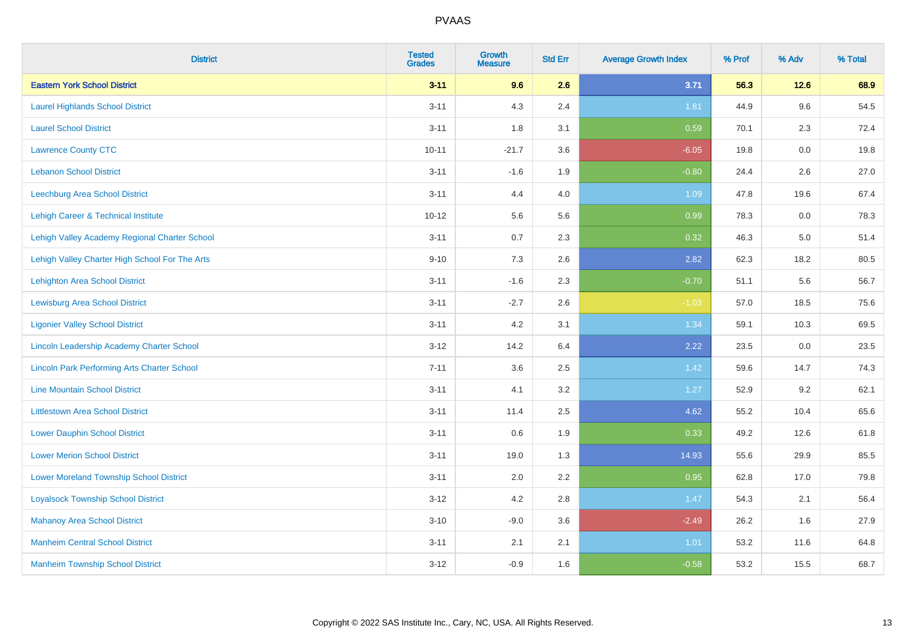| <b>District</b>                                    | <b>Tested</b><br><b>Grades</b> | Growth<br><b>Measure</b> | <b>Std Err</b> | <b>Average Growth Index</b> | % Prof | % Adv   | % Total |
|----------------------------------------------------|--------------------------------|--------------------------|----------------|-----------------------------|--------|---------|---------|
| <b>Eastern York School District</b>                | $3 - 11$                       | 9.6                      | 2.6            | 3.71                        | 56.3   | $12.6$  | 68.9    |
| <b>Laurel Highlands School District</b>            | $3 - 11$                       | 4.3                      | 2.4            | 1.81                        | 44.9   | 9.6     | 54.5    |
| <b>Laurel School District</b>                      | $3 - 11$                       | 1.8                      | 3.1            | 0.59                        | 70.1   | 2.3     | 72.4    |
| <b>Lawrence County CTC</b>                         | $10 - 11$                      | $-21.7$                  | 3.6            | $-6.05$                     | 19.8   | $0.0\,$ | 19.8    |
| <b>Lebanon School District</b>                     | $3 - 11$                       | $-1.6$                   | 1.9            | $-0.80$                     | 24.4   | 2.6     | 27.0    |
| <b>Leechburg Area School District</b>              | $3 - 11$                       | 4.4                      | 4.0            | 1.09                        | 47.8   | 19.6    | 67.4    |
| Lehigh Career & Technical Institute                | $10 - 12$                      | 5.6                      | 5.6            | 0.99                        | 78.3   | 0.0     | 78.3    |
| Lehigh Valley Academy Regional Charter School      | $3 - 11$                       | 0.7                      | 2.3            | 0.32                        | 46.3   | 5.0     | 51.4    |
| Lehigh Valley Charter High School For The Arts     | $9 - 10$                       | 7.3                      | 2.6            | 2.82                        | 62.3   | 18.2    | 80.5    |
| <b>Lehighton Area School District</b>              | $3 - 11$                       | $-1.6$                   | 2.3            | $-0.70$                     | 51.1   | 5.6     | 56.7    |
| <b>Lewisburg Area School District</b>              | $3 - 11$                       | $-2.7$                   | 2.6            | $-1.03$                     | 57.0   | 18.5    | 75.6    |
| <b>Ligonier Valley School District</b>             | $3 - 11$                       | 4.2                      | 3.1            | 1.34                        | 59.1   | 10.3    | 69.5    |
| Lincoln Leadership Academy Charter School          | $3 - 12$                       | 14.2                     | 6.4            | 2.22                        | 23.5   | 0.0     | 23.5    |
| <b>Lincoln Park Performing Arts Charter School</b> | $7 - 11$                       | 3.6                      | 2.5            | 1.42                        | 59.6   | 14.7    | 74.3    |
| <b>Line Mountain School District</b>               | $3 - 11$                       | 4.1                      | 3.2            | 1.27                        | 52.9   | 9.2     | 62.1    |
| <b>Littlestown Area School District</b>            | $3 - 11$                       | 11.4                     | 2.5            | 4.62                        | 55.2   | 10.4    | 65.6    |
| <b>Lower Dauphin School District</b>               | $3 - 11$                       | 0.6                      | 1.9            | 0.33                        | 49.2   | 12.6    | 61.8    |
| <b>Lower Merion School District</b>                | $3 - 11$                       | 19.0                     | 1.3            | 14.93                       | 55.6   | 29.9    | 85.5    |
| <b>Lower Moreland Township School District</b>     | $3 - 11$                       | 2.0                      | 2.2            | 0.95                        | 62.8   | 17.0    | 79.8    |
| <b>Loyalsock Township School District</b>          | $3 - 12$                       | 4.2                      | 2.8            | 1.47                        | 54.3   | 2.1     | 56.4    |
| <b>Mahanoy Area School District</b>                | $3 - 10$                       | $-9.0$                   | 3.6            | $-2.49$                     | 26.2   | 1.6     | 27.9    |
| <b>Manheim Central School District</b>             | $3 - 11$                       | 2.1                      | 2.1            | 1.01                        | 53.2   | 11.6    | 64.8    |
| <b>Manheim Township School District</b>            | $3 - 12$                       | $-0.9$                   | 1.6            | $-0.58$                     | 53.2   | 15.5    | 68.7    |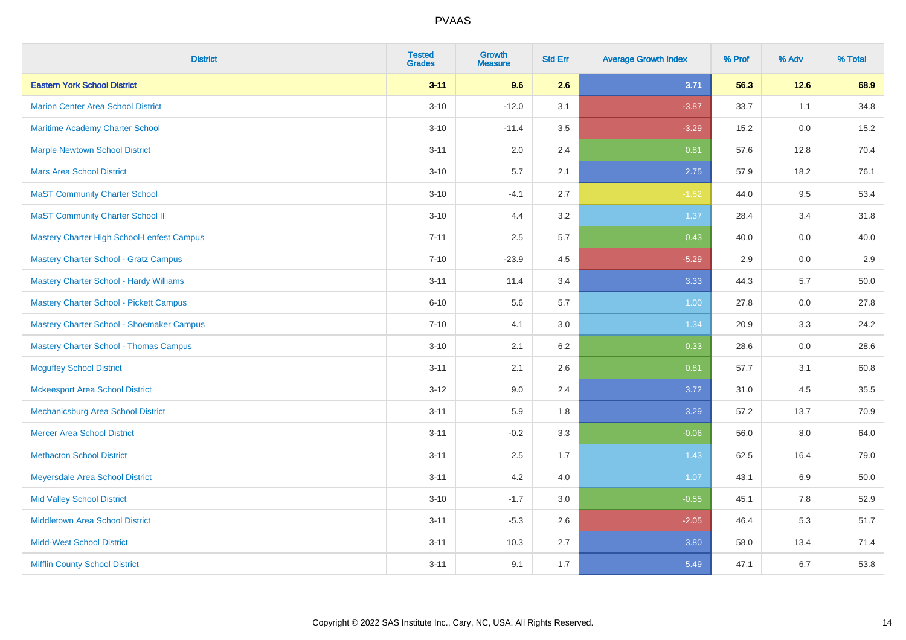| <b>District</b>                                   | <b>Tested</b><br><b>Grades</b> | <b>Growth</b><br><b>Measure</b> | <b>Std Err</b> | <b>Average Growth Index</b> | % Prof | % Adv | % Total |
|---------------------------------------------------|--------------------------------|---------------------------------|----------------|-----------------------------|--------|-------|---------|
| <b>Eastern York School District</b>               | $3 - 11$                       | 9.6                             | 2.6            | 3.71                        | 56.3   | 12.6  | 68.9    |
| <b>Marion Center Area School District</b>         | $3 - 10$                       | $-12.0$                         | 3.1            | $-3.87$                     | 33.7   | 1.1   | 34.8    |
| Maritime Academy Charter School                   | $3 - 10$                       | $-11.4$                         | 3.5            | $-3.29$                     | 15.2   | 0.0   | 15.2    |
| <b>Marple Newtown School District</b>             | $3 - 11$                       | 2.0                             | 2.4            | 0.81                        | 57.6   | 12.8  | 70.4    |
| <b>Mars Area School District</b>                  | $3 - 10$                       | 5.7                             | 2.1            | 2.75                        | 57.9   | 18.2  | 76.1    |
| <b>MaST Community Charter School</b>              | $3 - 10$                       | $-4.1$                          | 2.7            | $-1.52$                     | 44.0   | 9.5   | 53.4    |
| <b>MaST Community Charter School II</b>           | $3 - 10$                       | 4.4                             | 3.2            | 1.37                        | 28.4   | 3.4   | 31.8    |
| <b>Mastery Charter High School-Lenfest Campus</b> | $7 - 11$                       | 2.5                             | 5.7            | 0.43                        | 40.0   | 0.0   | 40.0    |
| <b>Mastery Charter School - Gratz Campus</b>      | $7 - 10$                       | $-23.9$                         | 4.5            | $-5.29$                     | 2.9    | 0.0   | 2.9     |
| <b>Mastery Charter School - Hardy Williams</b>    | $3 - 11$                       | 11.4                            | 3.4            | 3.33                        | 44.3   | 5.7   | 50.0    |
| <b>Mastery Charter School - Pickett Campus</b>    | $6 - 10$                       | 5.6                             | 5.7            | 1.00                        | 27.8   | 0.0   | 27.8    |
| Mastery Charter School - Shoemaker Campus         | $7 - 10$                       | 4.1                             | 3.0            | 1.34                        | 20.9   | 3.3   | 24.2    |
| <b>Mastery Charter School - Thomas Campus</b>     | $3 - 10$                       | 2.1                             | 6.2            | 0.33                        | 28.6   | 0.0   | 28.6    |
| <b>Mcguffey School District</b>                   | $3 - 11$                       | 2.1                             | 2.6            | 0.81                        | 57.7   | 3.1   | 60.8    |
| <b>Mckeesport Area School District</b>            | $3 - 12$                       | 9.0                             | 2.4            | 3.72                        | 31.0   | 4.5   | 35.5    |
| Mechanicsburg Area School District                | $3 - 11$                       | 5.9                             | 1.8            | 3.29                        | 57.2   | 13.7  | 70.9    |
| <b>Mercer Area School District</b>                | $3 - 11$                       | $-0.2$                          | 3.3            | $-0.06$                     | 56.0   | 8.0   | 64.0    |
| <b>Methacton School District</b>                  | $3 - 11$                       | 2.5                             | 1.7            | 1.43                        | 62.5   | 16.4  | 79.0    |
| Meyersdale Area School District                   | $3 - 11$                       | 4.2                             | 4.0            | 1.07                        | 43.1   | 6.9   | 50.0    |
| <b>Mid Valley School District</b>                 | $3 - 10$                       | $-1.7$                          | 3.0            | $-0.55$                     | 45.1   | 7.8   | 52.9    |
| <b>Middletown Area School District</b>            | $3 - 11$                       | $-5.3$                          | 2.6            | $-2.05$                     | 46.4   | 5.3   | 51.7    |
| <b>Midd-West School District</b>                  | $3 - 11$                       | 10.3                            | 2.7            | 3.80                        | 58.0   | 13.4  | 71.4    |
| <b>Mifflin County School District</b>             | $3 - 11$                       | 9.1                             | 1.7            | 5.49                        | 47.1   | 6.7   | 53.8    |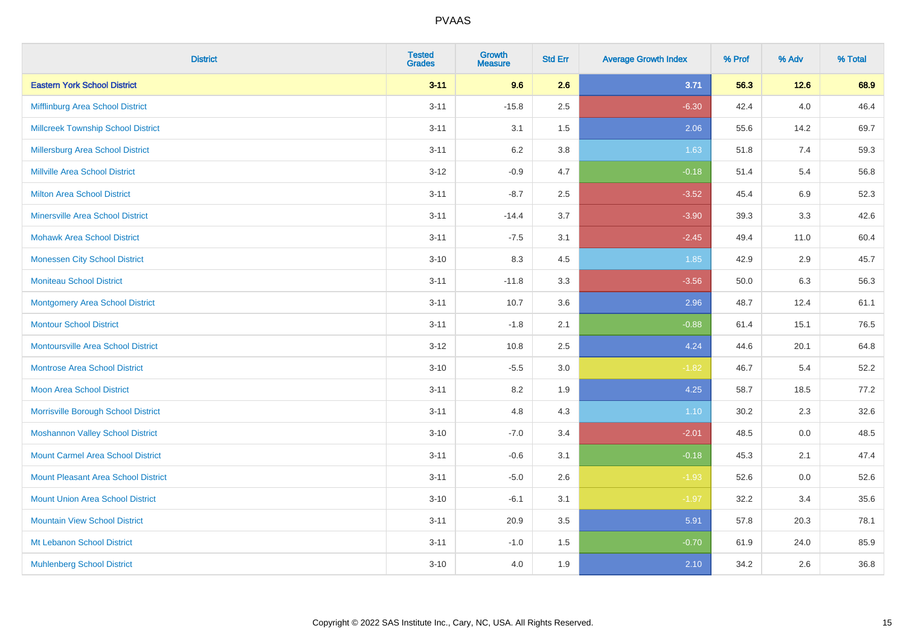| <b>District</b>                            | <b>Tested</b><br><b>Grades</b> | <b>Growth</b><br><b>Measure</b> | <b>Std Err</b> | <b>Average Growth Index</b> | % Prof | % Adv | % Total |
|--------------------------------------------|--------------------------------|---------------------------------|----------------|-----------------------------|--------|-------|---------|
| <b>Eastern York School District</b>        | $3 - 11$                       | 9.6                             | 2.6            | 3.71                        | 56.3   | 12.6  | 68.9    |
| Mifflinburg Area School District           | $3 - 11$                       | $-15.8$                         | 2.5            | $-6.30$                     | 42.4   | 4.0   | 46.4    |
| <b>Millcreek Township School District</b>  | $3 - 11$                       | 3.1                             | 1.5            | 2.06                        | 55.6   | 14.2  | 69.7    |
| <b>Millersburg Area School District</b>    | $3 - 11$                       | $6.2\,$                         | 3.8            | 1.63                        | 51.8   | 7.4   | 59.3    |
| <b>Millville Area School District</b>      | $3-12$                         | $-0.9$                          | 4.7            | $-0.18$                     | 51.4   | 5.4   | 56.8    |
| <b>Milton Area School District</b>         | $3 - 11$                       | $-8.7$                          | 2.5            | $-3.52$                     | 45.4   | 6.9   | 52.3    |
| <b>Minersville Area School District</b>    | $3 - 11$                       | $-14.4$                         | 3.7            | $-3.90$                     | 39.3   | 3.3   | 42.6    |
| <b>Mohawk Area School District</b>         | $3 - 11$                       | $-7.5$                          | 3.1            | $-2.45$                     | 49.4   | 11.0  | 60.4    |
| <b>Monessen City School District</b>       | $3 - 10$                       | 8.3                             | 4.5            | 1.85                        | 42.9   | 2.9   | 45.7    |
| <b>Moniteau School District</b>            | $3 - 11$                       | $-11.8$                         | 3.3            | $-3.56$                     | 50.0   | 6.3   | 56.3    |
| <b>Montgomery Area School District</b>     | $3 - 11$                       | 10.7                            | 3.6            | 2.96                        | 48.7   | 12.4  | 61.1    |
| <b>Montour School District</b>             | $3 - 11$                       | $-1.8$                          | 2.1            | $-0.88$                     | 61.4   | 15.1  | 76.5    |
| <b>Montoursville Area School District</b>  | $3 - 12$                       | 10.8                            | 2.5            | 4.24                        | 44.6   | 20.1  | 64.8    |
| <b>Montrose Area School District</b>       | $3 - 10$                       | $-5.5$                          | 3.0            | $-1.82$                     | 46.7   | 5.4   | 52.2    |
| <b>Moon Area School District</b>           | $3 - 11$                       | 8.2                             | 1.9            | 4.25                        | 58.7   | 18.5  | 77.2    |
| Morrisville Borough School District        | $3 - 11$                       | 4.8                             | 4.3            | 1.10                        | 30.2   | 2.3   | 32.6    |
| <b>Moshannon Valley School District</b>    | $3 - 10$                       | $-7.0$                          | 3.4            | $-2.01$                     | 48.5   | 0.0   | 48.5    |
| <b>Mount Carmel Area School District</b>   | $3 - 11$                       | $-0.6$                          | 3.1            | $-0.18$                     | 45.3   | 2.1   | 47.4    |
| <b>Mount Pleasant Area School District</b> | $3 - 11$                       | $-5.0$                          | 2.6            | $-1.93$                     | 52.6   | 0.0   | 52.6    |
| <b>Mount Union Area School District</b>    | $3 - 10$                       | $-6.1$                          | 3.1            | $-1.97$                     | 32.2   | 3.4   | 35.6    |
| <b>Mountain View School District</b>       | $3 - 11$                       | 20.9                            | 3.5            | 5.91                        | 57.8   | 20.3  | 78.1    |
| Mt Lebanon School District                 | $3 - 11$                       | $-1.0$                          | 1.5            | $-0.70$                     | 61.9   | 24.0  | 85.9    |
| <b>Muhlenberg School District</b>          | $3 - 10$                       | 4.0                             | 1.9            | 2.10                        | 34.2   | 2.6   | 36.8    |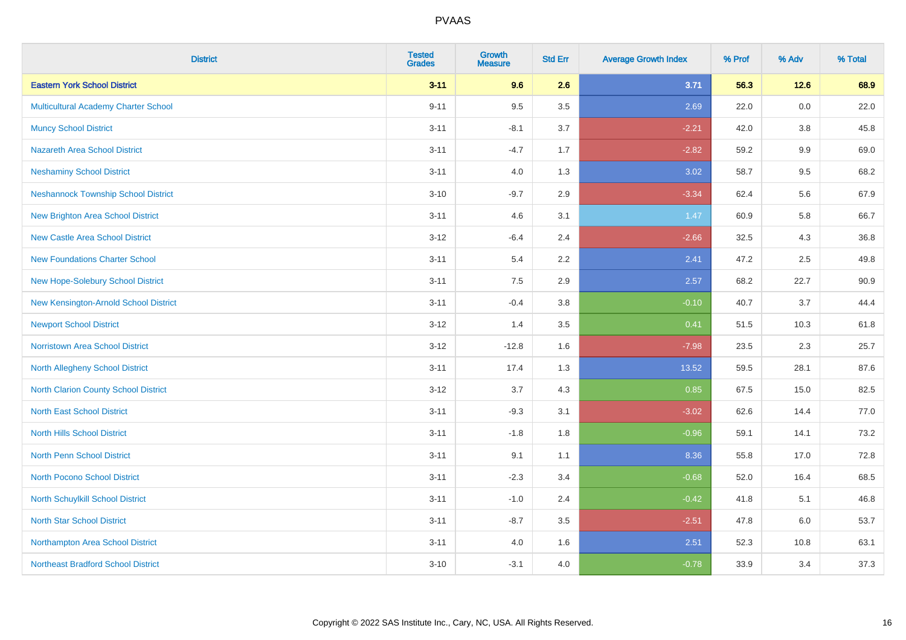| <b>District</b>                            | <b>Tested</b><br><b>Grades</b> | Growth<br><b>Measure</b> | <b>Std Err</b> | <b>Average Growth Index</b> | % Prof | % Adv  | % Total |
|--------------------------------------------|--------------------------------|--------------------------|----------------|-----------------------------|--------|--------|---------|
| <b>Eastern York School District</b>        | $3 - 11$                       | 9.6                      | 2.6            | 3.71                        | 56.3   | $12.6$ | 68.9    |
| Multicultural Academy Charter School       | $9 - 11$                       | 9.5                      | 3.5            | 2.69                        | 22.0   | 0.0    | 22.0    |
| <b>Muncy School District</b>               | $3 - 11$                       | $-8.1$                   | 3.7            | $-2.21$                     | 42.0   | 3.8    | 45.8    |
| <b>Nazareth Area School District</b>       | $3 - 11$                       | $-4.7$                   | 1.7            | $-2.82$                     | 59.2   | 9.9    | 69.0    |
| <b>Neshaminy School District</b>           | $3 - 11$                       | 4.0                      | 1.3            | 3.02                        | 58.7   | 9.5    | 68.2    |
| <b>Neshannock Township School District</b> | $3 - 10$                       | $-9.7$                   | 2.9            | $-3.34$                     | 62.4   | 5.6    | 67.9    |
| <b>New Brighton Area School District</b>   | $3 - 11$                       | 4.6                      | 3.1            | 1.47                        | 60.9   | 5.8    | 66.7    |
| <b>New Castle Area School District</b>     | $3 - 12$                       | $-6.4$                   | 2.4            | $-2.66$                     | 32.5   | 4.3    | 36.8    |
| <b>New Foundations Charter School</b>      | $3 - 11$                       | 5.4                      | 2.2            | 2.41                        | 47.2   | 2.5    | 49.8    |
| New Hope-Solebury School District          | $3 - 11$                       | 7.5                      | 2.9            | 2.57                        | 68.2   | 22.7   | 90.9    |
| New Kensington-Arnold School District      | $3 - 11$                       | $-0.4$                   | 3.8            | $-0.10$                     | 40.7   | 3.7    | 44.4    |
| <b>Newport School District</b>             | $3 - 12$                       | 1.4                      | 3.5            | 0.41                        | 51.5   | 10.3   | 61.8    |
| <b>Norristown Area School District</b>     | $3 - 12$                       | $-12.8$                  | 1.6            | $-7.98$                     | 23.5   | 2.3    | 25.7    |
| North Allegheny School District            | $3 - 11$                       | 17.4                     | 1.3            | 13.52                       | 59.5   | 28.1   | 87.6    |
| North Clarion County School District       | $3 - 12$                       | 3.7                      | 4.3            | 0.85                        | 67.5   | 15.0   | 82.5    |
| <b>North East School District</b>          | $3 - 11$                       | $-9.3$                   | 3.1            | $-3.02$                     | 62.6   | 14.4   | 77.0    |
| <b>North Hills School District</b>         | $3 - 11$                       | $-1.8$                   | 1.8            | $-0.96$                     | 59.1   | 14.1   | 73.2    |
| <b>North Penn School District</b>          | $3 - 11$                       | 9.1                      | 1.1            | 8.36                        | 55.8   | 17.0   | 72.8    |
| North Pocono School District               | $3 - 11$                       | $-2.3$                   | 3.4            | $-0.68$                     | 52.0   | 16.4   | 68.5    |
| North Schuylkill School District           | $3 - 11$                       | $-1.0$                   | 2.4            | $-0.42$                     | 41.8   | 5.1    | 46.8    |
| <b>North Star School District</b>          | $3 - 11$                       | $-8.7$                   | 3.5            | $-2.51$                     | 47.8   | 6.0    | 53.7    |
| Northampton Area School District           | $3 - 11$                       | 4.0                      | 1.6            | 2.51                        | 52.3   | 10.8   | 63.1    |
| <b>Northeast Bradford School District</b>  | $3 - 10$                       | $-3.1$                   | 4.0            | $-0.78$                     | 33.9   | 3.4    | 37.3    |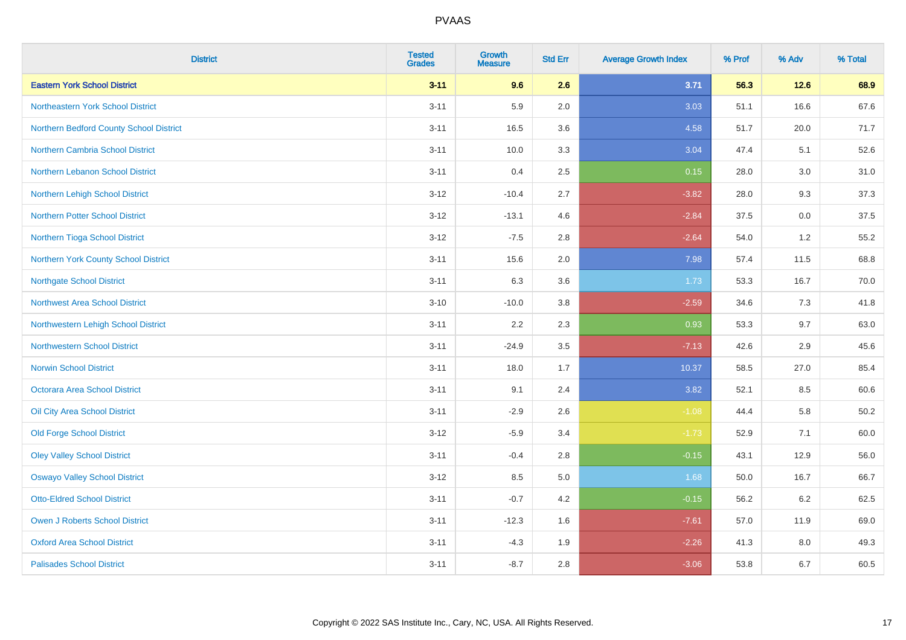| <b>District</b>                         | <b>Tested</b><br><b>Grades</b> | <b>Growth</b><br><b>Measure</b> | <b>Std Err</b> | <b>Average Growth Index</b> | % Prof | % Adv  | % Total  |
|-----------------------------------------|--------------------------------|---------------------------------|----------------|-----------------------------|--------|--------|----------|
| <b>Eastern York School District</b>     | $3 - 11$                       | 9.6                             | 2.6            | 3.71                        | 56.3   | $12.6$ | 68.9     |
| Northeastern York School District       | $3 - 11$                       | 5.9                             | 2.0            | 3.03                        | 51.1   | 16.6   | 67.6     |
| Northern Bedford County School District | $3 - 11$                       | 16.5                            | 3.6            | 4.58                        | 51.7   | 20.0   | 71.7     |
| <b>Northern Cambria School District</b> | $3 - 11$                       | 10.0                            | 3.3            | 3.04                        | 47.4   | 5.1    | 52.6     |
| Northern Lebanon School District        | $3 - 11$                       | 0.4                             | 2.5            | 0.15                        | 28.0   | 3.0    | 31.0     |
| Northern Lehigh School District         | $3 - 12$                       | $-10.4$                         | 2.7            | $-3.82$                     | 28.0   | 9.3    | 37.3     |
| <b>Northern Potter School District</b>  | $3 - 12$                       | $-13.1$                         | 4.6            | $-2.84$                     | 37.5   | 0.0    | 37.5     |
| Northern Tioga School District          | $3 - 12$                       | $-7.5$                          | 2.8            | $-2.64$                     | 54.0   | 1.2    | 55.2     |
| Northern York County School District    | $3 - 11$                       | 15.6                            | 2.0            | 7.98                        | 57.4   | 11.5   | 68.8     |
| <b>Northgate School District</b>        | $3 - 11$                       | 6.3                             | 3.6            | 1.73                        | 53.3   | 16.7   | 70.0     |
| <b>Northwest Area School District</b>   | $3 - 10$                       | $-10.0$                         | $3.8\,$        | $-2.59$                     | 34.6   | 7.3    | 41.8     |
| Northwestern Lehigh School District     | $3 - 11$                       | 2.2                             | 2.3            | 0.93                        | 53.3   | 9.7    | 63.0     |
| <b>Northwestern School District</b>     | $3 - 11$                       | $-24.9$                         | 3.5            | $-7.13$                     | 42.6   | 2.9    | 45.6     |
| <b>Norwin School District</b>           | $3 - 11$                       | 18.0                            | 1.7            | 10.37                       | 58.5   | 27.0   | 85.4     |
| Octorara Area School District           | $3 - 11$                       | 9.1                             | 2.4            | 3.82                        | 52.1   | 8.5    | 60.6     |
| Oil City Area School District           | $3 - 11$                       | $-2.9$                          | 2.6            | $-1.08$                     | 44.4   | 5.8    | $50.2\,$ |
| <b>Old Forge School District</b>        | $3 - 12$                       | $-5.9$                          | 3.4            | $-1.73$                     | 52.9   | 7.1    | 60.0     |
| <b>Oley Valley School District</b>      | $3 - 11$                       | $-0.4$                          | 2.8            | $-0.15$                     | 43.1   | 12.9   | 56.0     |
| <b>Oswayo Valley School District</b>    | $3 - 12$                       | 8.5                             | $5.0\,$        | 1.68                        | 50.0   | 16.7   | 66.7     |
| <b>Otto-Eldred School District</b>      | $3 - 11$                       | $-0.7$                          | 4.2            | $-0.15$                     | 56.2   | 6.2    | 62.5     |
| <b>Owen J Roberts School District</b>   | $3 - 11$                       | $-12.3$                         | 1.6            | $-7.61$                     | 57.0   | 11.9   | 69.0     |
| <b>Oxford Area School District</b>      | $3 - 11$                       | $-4.3$                          | 1.9            | $-2.26$                     | 41.3   | 8.0    | 49.3     |
| <b>Palisades School District</b>        | $3 - 11$                       | $-8.7$                          | 2.8            | $-3.06$                     | 53.8   | 6.7    | 60.5     |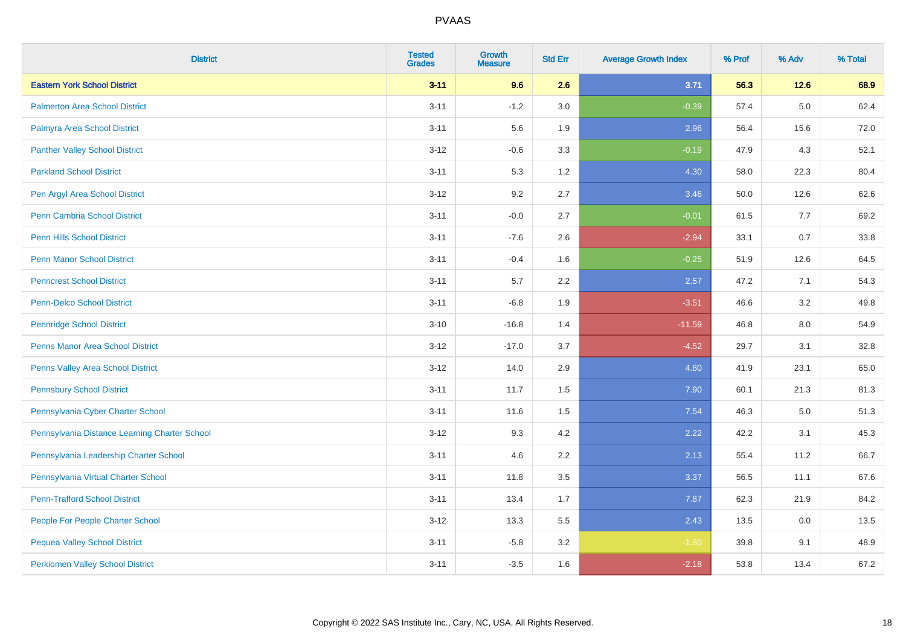| <b>District</b>                               | <b>Tested</b><br><b>Grades</b> | Growth<br><b>Measure</b> | <b>Std Err</b> | <b>Average Growth Index</b> | % Prof | % Adv   | % Total |
|-----------------------------------------------|--------------------------------|--------------------------|----------------|-----------------------------|--------|---------|---------|
| <b>Eastern York School District</b>           | $3 - 11$                       | 9.6                      | 2.6            | 3.71                        | 56.3   | $12.6$  | 68.9    |
| <b>Palmerton Area School District</b>         | $3 - 11$                       | $-1.2$                   | 3.0            | $-0.39$                     | 57.4   | $5.0\,$ | 62.4    |
| Palmyra Area School District                  | $3 - 11$                       | 5.6                      | 1.9            | 2.96                        | 56.4   | 15.6    | 72.0    |
| <b>Panther Valley School District</b>         | $3 - 12$                       | $-0.6$                   | 3.3            | $-0.19$                     | 47.9   | 4.3     | 52.1    |
| <b>Parkland School District</b>               | $3 - 11$                       | 5.3                      | 1.2            | 4.30                        | 58.0   | 22.3    | 80.4    |
| Pen Argyl Area School District                | $3 - 12$                       | 9.2                      | 2.7            | 3.46                        | 50.0   | 12.6    | 62.6    |
| <b>Penn Cambria School District</b>           | $3 - 11$                       | $-0.0$                   | 2.7            | $-0.01$                     | 61.5   | 7.7     | 69.2    |
| <b>Penn Hills School District</b>             | $3 - 11$                       | $-7.6$                   | 2.6            | $-2.94$                     | 33.1   | 0.7     | 33.8    |
| <b>Penn Manor School District</b>             | $3 - 11$                       | $-0.4$                   | 1.6            | $-0.25$                     | 51.9   | 12.6    | 64.5    |
| <b>Penncrest School District</b>              | $3 - 11$                       | $5.7\,$                  | 2.2            | 2.57                        | 47.2   | 7.1     | 54.3    |
| <b>Penn-Delco School District</b>             | $3 - 11$                       | $-6.8$                   | 1.9            | $-3.51$                     | 46.6   | 3.2     | 49.8    |
| <b>Pennridge School District</b>              | $3 - 10$                       | $-16.8$                  | 1.4            | $-11.59$                    | 46.8   | 8.0     | 54.9    |
| Penns Manor Area School District              | $3 - 12$                       | $-17.0$                  | 3.7            | $-4.52$                     | 29.7   | 3.1     | 32.8    |
| Penns Valley Area School District             | $3 - 12$                       | 14.0                     | 2.9            | 4.80                        | 41.9   | 23.1    | 65.0    |
| <b>Pennsbury School District</b>              | $3 - 11$                       | 11.7                     | 1.5            | 7.90                        | 60.1   | 21.3    | 81.3    |
| Pennsylvania Cyber Charter School             | $3 - 11$                       | 11.6                     | 1.5            | 7.54                        | 46.3   | $5.0\,$ | 51.3    |
| Pennsylvania Distance Learning Charter School | $3 - 12$                       | 9.3                      | 4.2            | 2.22                        | 42.2   | 3.1     | 45.3    |
| Pennsylvania Leadership Charter School        | $3 - 11$                       | 4.6                      | 2.2            | 2.13                        | 55.4   | 11.2    | 66.7    |
| Pennsylvania Virtual Charter School           | $3 - 11$                       | 11.8                     | 3.5            | 3.37                        | 56.5   | 11.1    | 67.6    |
| <b>Penn-Trafford School District</b>          | $3 - 11$                       | 13.4                     | 1.7            | 7.87                        | 62.3   | 21.9    | 84.2    |
| People For People Charter School              | $3 - 12$                       | 13.3                     | 5.5            | 2.43                        | 13.5   | 0.0     | 13.5    |
| <b>Pequea Valley School District</b>          | $3 - 11$                       | $-5.8$                   | 3.2            | $-1.80$                     | 39.8   | 9.1     | 48.9    |
| <b>Perkiomen Valley School District</b>       | $3 - 11$                       | $-3.5$                   | 1.6            | $-2.18$                     | 53.8   | 13.4    | 67.2    |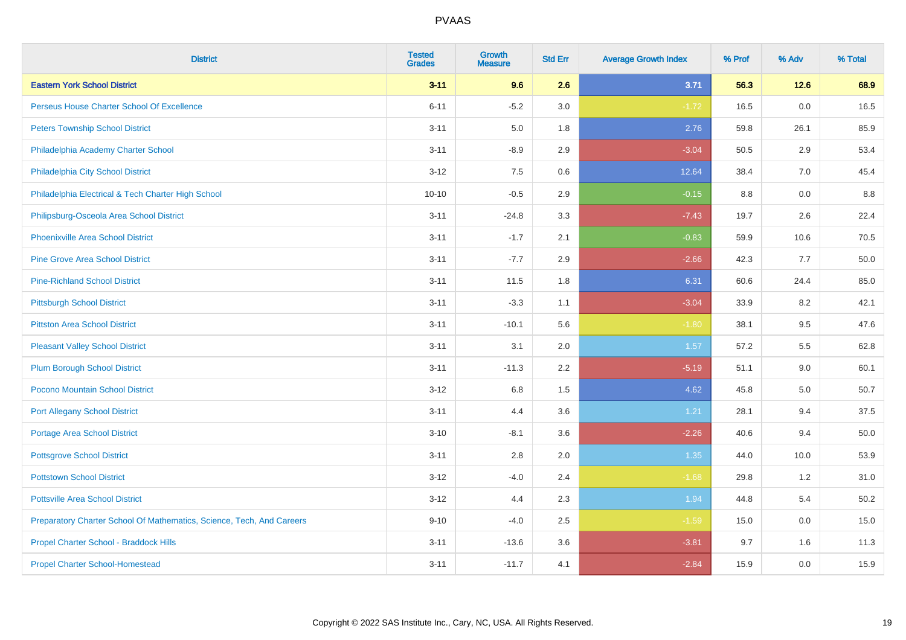| <b>District</b>                                                       | <b>Tested</b><br><b>Grades</b> | <b>Growth</b><br><b>Measure</b> | <b>Std Err</b> | <b>Average Growth Index</b> | % Prof | % Adv | % Total |
|-----------------------------------------------------------------------|--------------------------------|---------------------------------|----------------|-----------------------------|--------|-------|---------|
| <b>Eastern York School District</b>                                   | $3 - 11$                       | 9.6                             | 2.6            | 3.71                        | 56.3   | 12.6  | 68.9    |
| Perseus House Charter School Of Excellence                            | $6 - 11$                       | $-5.2$                          | 3.0            | $-1.72$                     | 16.5   | 0.0   | 16.5    |
| <b>Peters Township School District</b>                                | $3 - 11$                       | 5.0                             | 1.8            | 2.76                        | 59.8   | 26.1  | 85.9    |
| Philadelphia Academy Charter School                                   | $3 - 11$                       | $-8.9$                          | 2.9            | $-3.04$                     | 50.5   | 2.9   | 53.4    |
| Philadelphia City School District                                     | $3 - 12$                       | 7.5                             | 0.6            | 12.64                       | 38.4   | 7.0   | 45.4    |
| Philadelphia Electrical & Tech Charter High School                    | $10 - 10$                      | $-0.5$                          | 2.9            | $-0.15$                     | 8.8    | 0.0   | 8.8     |
| Philipsburg-Osceola Area School District                              | $3 - 11$                       | $-24.8$                         | 3.3            | $-7.43$                     | 19.7   | 2.6   | 22.4    |
| <b>Phoenixville Area School District</b>                              | $3 - 11$                       | $-1.7$                          | 2.1            | $-0.83$                     | 59.9   | 10.6  | 70.5    |
| <b>Pine Grove Area School District</b>                                | $3 - 11$                       | $-7.7$                          | 2.9            | $-2.66$                     | 42.3   | 7.7   | 50.0    |
| <b>Pine-Richland School District</b>                                  | $3 - 11$                       | 11.5                            | 1.8            | 6.31                        | 60.6   | 24.4  | 85.0    |
| <b>Pittsburgh School District</b>                                     | $3 - 11$                       | $-3.3$                          | 1.1            | $-3.04$                     | 33.9   | 8.2   | 42.1    |
| <b>Pittston Area School District</b>                                  | $3 - 11$                       | $-10.1$                         | 5.6            | $-1.80$                     | 38.1   | 9.5   | 47.6    |
| <b>Pleasant Valley School District</b>                                | $3 - 11$                       | 3.1                             | 2.0            | 1.57                        | 57.2   | 5.5   | 62.8    |
| <b>Plum Borough School District</b>                                   | $3 - 11$                       | $-11.3$                         | 2.2            | $-5.19$                     | 51.1   | 9.0   | 60.1    |
| <b>Pocono Mountain School District</b>                                | $3 - 12$                       | 6.8                             | 1.5            | 4.62                        | 45.8   | 5.0   | 50.7    |
| <b>Port Allegany School District</b>                                  | $3 - 11$                       | 4.4                             | 3.6            | 1.21                        | 28.1   | 9.4   | 37.5    |
| <b>Portage Area School District</b>                                   | $3 - 10$                       | $-8.1$                          | 3.6            | $-2.26$                     | 40.6   | 9.4   | 50.0    |
| <b>Pottsgrove School District</b>                                     | $3 - 11$                       | 2.8                             | 2.0            | 1.35                        | 44.0   | 10.0  | 53.9    |
| <b>Pottstown School District</b>                                      | $3 - 12$                       | $-4.0$                          | 2.4            | $-1.68$                     | 29.8   | 1.2   | 31.0    |
| <b>Pottsville Area School District</b>                                | $3 - 12$                       | 4.4                             | 2.3            | 1.94                        | 44.8   | 5.4   | 50.2    |
| Preparatory Charter School Of Mathematics, Science, Tech, And Careers | $9 - 10$                       | $-4.0$                          | 2.5            | $-1.59$                     | 15.0   | 0.0   | 15.0    |
| Propel Charter School - Braddock Hills                                | $3 - 11$                       | $-13.6$                         | 3.6            | $-3.81$                     | 9.7    | 1.6   | 11.3    |
| <b>Propel Charter School-Homestead</b>                                | $3 - 11$                       | $-11.7$                         | 4.1            | $-2.84$                     | 15.9   | 0.0   | 15.9    |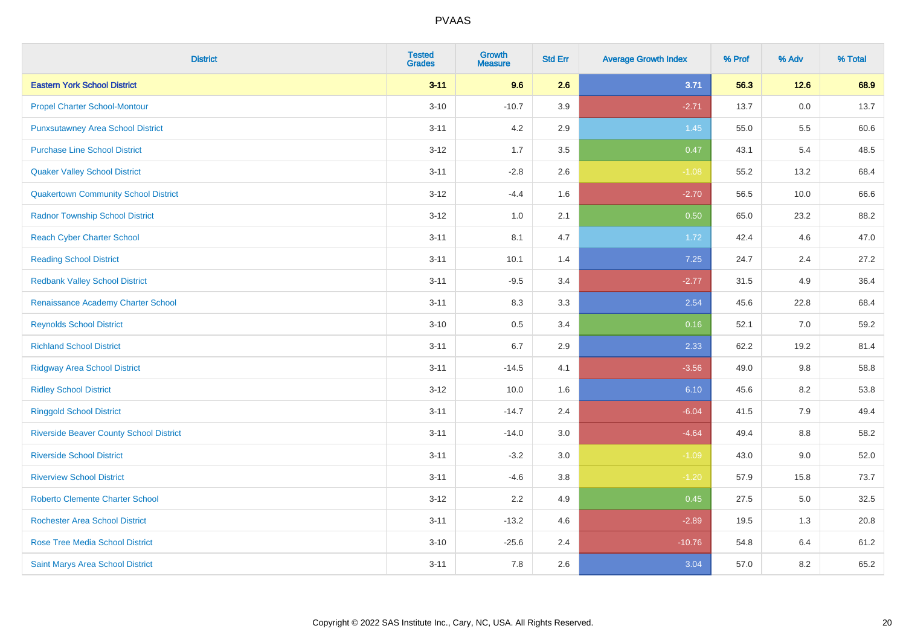| <b>District</b>                                | <b>Tested</b><br><b>Grades</b> | <b>Growth</b><br><b>Measure</b> | <b>Std Err</b> | <b>Average Growth Index</b> | % Prof | % Adv | % Total |
|------------------------------------------------|--------------------------------|---------------------------------|----------------|-----------------------------|--------|-------|---------|
| <b>Eastern York School District</b>            | $3 - 11$                       | 9.6                             | 2.6            | 3.71                        | 56.3   | 12.6  | 68.9    |
| <b>Propel Charter School-Montour</b>           | $3 - 10$                       | $-10.7$                         | 3.9            | $-2.71$                     | 13.7   | 0.0   | 13.7    |
| <b>Punxsutawney Area School District</b>       | $3 - 11$                       | 4.2                             | 2.9            | 1.45                        | 55.0   | 5.5   | 60.6    |
| <b>Purchase Line School District</b>           | $3 - 12$                       | 1.7                             | 3.5            | 0.47                        | 43.1   | 5.4   | 48.5    |
| <b>Quaker Valley School District</b>           | $3 - 11$                       | $-2.8$                          | 2.6            | $-1.08$                     | 55.2   | 13.2  | 68.4    |
| <b>Quakertown Community School District</b>    | $3 - 12$                       | $-4.4$                          | 1.6            | $-2.70$                     | 56.5   | 10.0  | 66.6    |
| <b>Radnor Township School District</b>         | $3 - 12$                       | 1.0                             | 2.1            | 0.50                        | 65.0   | 23.2  | 88.2    |
| <b>Reach Cyber Charter School</b>              | $3 - 11$                       | 8.1                             | 4.7            | 1.72                        | 42.4   | 4.6   | 47.0    |
| <b>Reading School District</b>                 | $3 - 11$                       | 10.1                            | 1.4            | 7.25                        | 24.7   | 2.4   | 27.2    |
| <b>Redbank Valley School District</b>          | $3 - 11$                       | $-9.5$                          | 3.4            | $-2.77$                     | 31.5   | 4.9   | 36.4    |
| Renaissance Academy Charter School             | $3 - 11$                       | 8.3                             | 3.3            | 2.54                        | 45.6   | 22.8  | 68.4    |
| <b>Reynolds School District</b>                | $3 - 10$                       | $0.5\,$                         | 3.4            | 0.16                        | 52.1   | 7.0   | 59.2    |
| <b>Richland School District</b>                | $3 - 11$                       | $6.7\,$                         | 2.9            | 2.33                        | 62.2   | 19.2  | 81.4    |
| <b>Ridgway Area School District</b>            | $3 - 11$                       | $-14.5$                         | 4.1            | $-3.56$                     | 49.0   | 9.8   | 58.8    |
| <b>Ridley School District</b>                  | $3 - 12$                       | 10.0                            | 1.6            | 6.10                        | 45.6   | 8.2   | 53.8    |
| <b>Ringgold School District</b>                | $3 - 11$                       | $-14.7$                         | 2.4            | $-6.04$                     | 41.5   | 7.9   | 49.4    |
| <b>Riverside Beaver County School District</b> | $3 - 11$                       | $-14.0$                         | 3.0            | $-4.64$                     | 49.4   | 8.8   | 58.2    |
| <b>Riverside School District</b>               | $3 - 11$                       | $-3.2$                          | 3.0            | $-1.09$                     | 43.0   | 9.0   | 52.0    |
| <b>Riverview School District</b>               | $3 - 11$                       | $-4.6$                          | 3.8            | $-1.20$                     | 57.9   | 15.8  | 73.7    |
| <b>Roberto Clemente Charter School</b>         | $3 - 12$                       | 2.2                             | 4.9            | 0.45                        | 27.5   | 5.0   | 32.5    |
| <b>Rochester Area School District</b>          | $3 - 11$                       | $-13.2$                         | 4.6            | $-2.89$                     | 19.5   | 1.3   | 20.8    |
| <b>Rose Tree Media School District</b>         | $3 - 10$                       | $-25.6$                         | 2.4            | $-10.76$                    | 54.8   | 6.4   | 61.2    |
| Saint Marys Area School District               | $3 - 11$                       | 7.8                             | 2.6            | 3.04                        | 57.0   | 8.2   | 65.2    |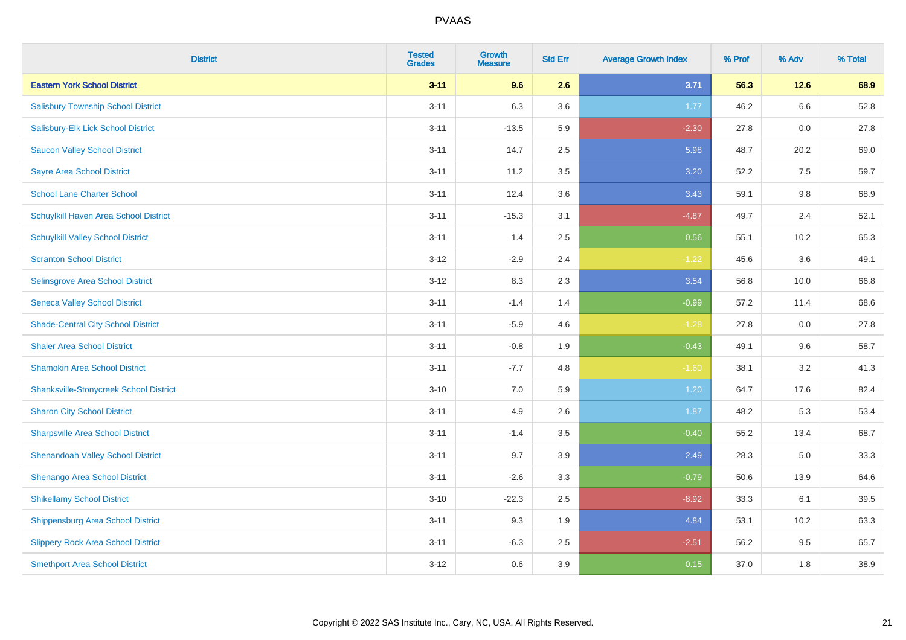| <b>District</b>                               | <b>Tested</b><br><b>Grades</b> | Growth<br><b>Measure</b> | <b>Std Err</b> | <b>Average Growth Index</b> | % Prof | % Adv | % Total |
|-----------------------------------------------|--------------------------------|--------------------------|----------------|-----------------------------|--------|-------|---------|
| <b>Eastern York School District</b>           | $3 - 11$                       | 9.6                      | 2.6            | 3.71                        | 56.3   | 12.6  | 68.9    |
| <b>Salisbury Township School District</b>     | $3 - 11$                       | 6.3                      | 3.6            | 1.77                        | 46.2   | 6.6   | 52.8    |
| Salisbury-Elk Lick School District            | $3 - 11$                       | $-13.5$                  | 5.9            | $-2.30$                     | 27.8   | 0.0   | 27.8    |
| <b>Saucon Valley School District</b>          | $3 - 11$                       | 14.7                     | 2.5            | 5.98                        | 48.7   | 20.2  | 69.0    |
| <b>Sayre Area School District</b>             | $3 - 11$                       | 11.2                     | 3.5            | 3.20                        | 52.2   | 7.5   | 59.7    |
| <b>School Lane Charter School</b>             | $3 - 11$                       | 12.4                     | 3.6            | 3.43                        | 59.1   | 9.8   | 68.9    |
| Schuylkill Haven Area School District         | $3 - 11$                       | $-15.3$                  | 3.1            | $-4.87$                     | 49.7   | 2.4   | 52.1    |
| <b>Schuylkill Valley School District</b>      | $3 - 11$                       | 1.4                      | 2.5            | 0.56                        | 55.1   | 10.2  | 65.3    |
| <b>Scranton School District</b>               | $3 - 12$                       | $-2.9$                   | 2.4            | $-1.22$                     | 45.6   | 3.6   | 49.1    |
| Selinsgrove Area School District              | $3 - 12$                       | 8.3                      | 2.3            | 3.54                        | 56.8   | 10.0  | 66.8    |
| <b>Seneca Valley School District</b>          | $3 - 11$                       | $-1.4$                   | 1.4            | $-0.99$                     | 57.2   | 11.4  | 68.6    |
| <b>Shade-Central City School District</b>     | $3 - 11$                       | $-5.9$                   | 4.6            | $-1.28$                     | 27.8   | 0.0   | 27.8    |
| <b>Shaler Area School District</b>            | $3 - 11$                       | $-0.8$                   | 1.9            | $-0.43$                     | 49.1   | 9.6   | 58.7    |
| <b>Shamokin Area School District</b>          | $3 - 11$                       | $-7.7$                   | 4.8            | $-1.60$                     | 38.1   | 3.2   | 41.3    |
| <b>Shanksville-Stonycreek School District</b> | $3 - 10$                       | 7.0                      | 5.9            | 1.20                        | 64.7   | 17.6  | 82.4    |
| <b>Sharon City School District</b>            | $3 - 11$                       | 4.9                      | 2.6            | 1.87                        | 48.2   | 5.3   | 53.4    |
| <b>Sharpsville Area School District</b>       | $3 - 11$                       | $-1.4$                   | 3.5            | $-0.40$                     | 55.2   | 13.4  | 68.7    |
| <b>Shenandoah Valley School District</b>      | $3 - 11$                       | 9.7                      | 3.9            | 2.49                        | 28.3   | 5.0   | 33.3    |
| Shenango Area School District                 | $3 - 11$                       | $-2.6$                   | 3.3            | $-0.79$                     | 50.6   | 13.9  | 64.6    |
| <b>Shikellamy School District</b>             | $3 - 10$                       | $-22.3$                  | 2.5            | $-8.92$                     | 33.3   | 6.1   | 39.5    |
| <b>Shippensburg Area School District</b>      | $3 - 11$                       | 9.3                      | 1.9            | 4.84                        | 53.1   | 10.2  | 63.3    |
| <b>Slippery Rock Area School District</b>     | $3 - 11$                       | $-6.3$                   | 2.5            | $-2.51$                     | 56.2   | 9.5   | 65.7    |
| <b>Smethport Area School District</b>         | $3 - 12$                       | 0.6                      | 3.9            | 0.15                        | 37.0   | 1.8   | 38.9    |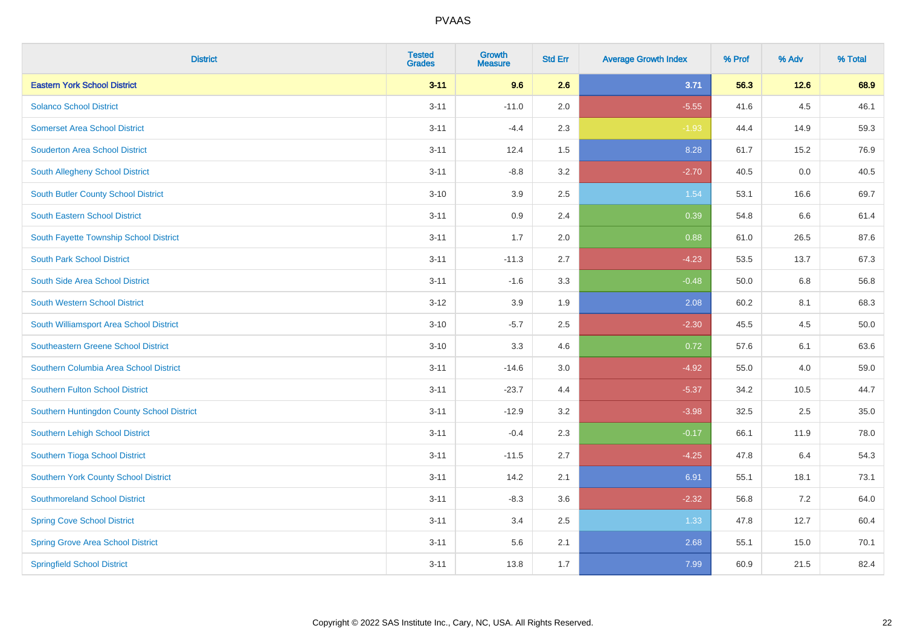| <b>District</b>                            | <b>Tested</b><br><b>Grades</b> | <b>Growth</b><br><b>Measure</b> | <b>Std Err</b> | <b>Average Growth Index</b> | % Prof | % Adv | % Total |
|--------------------------------------------|--------------------------------|---------------------------------|----------------|-----------------------------|--------|-------|---------|
| <b>Eastern York School District</b>        | $3 - 11$                       | 9.6                             | 2.6            | 3.71                        | 56.3   | 12.6  | 68.9    |
| <b>Solanco School District</b>             | $3 - 11$                       | $-11.0$                         | 2.0            | $-5.55$                     | 41.6   | 4.5   | 46.1    |
| <b>Somerset Area School District</b>       | $3 - 11$                       | $-4.4$                          | 2.3            | $-1.93$                     | 44.4   | 14.9  | 59.3    |
| <b>Souderton Area School District</b>      | $3 - 11$                       | 12.4                            | 1.5            | 8.28                        | 61.7   | 15.2  | 76.9    |
| South Allegheny School District            | $3 - 11$                       | $-8.8$                          | 3.2            | $-2.70$                     | 40.5   | 0.0   | 40.5    |
| <b>South Butler County School District</b> | $3 - 10$                       | 3.9                             | 2.5            | 1.54                        | 53.1   | 16.6  | 69.7    |
| <b>South Eastern School District</b>       | $3 - 11$                       | 0.9                             | 2.4            | 0.39                        | 54.8   | 6.6   | 61.4    |
| South Fayette Township School District     | $3 - 11$                       | 1.7                             | 2.0            | 0.88                        | 61.0   | 26.5  | 87.6    |
| <b>South Park School District</b>          | $3 - 11$                       | $-11.3$                         | 2.7            | $-4.23$                     | 53.5   | 13.7  | 67.3    |
| South Side Area School District            | $3 - 11$                       | $-1.6$                          | 3.3            | $-0.48$                     | 50.0   | 6.8   | 56.8    |
| South Western School District              | $3-12$                         | 3.9                             | 1.9            | 2.08                        | 60.2   | 8.1   | 68.3    |
| South Williamsport Area School District    | $3 - 10$                       | $-5.7$                          | 2.5            | $-2.30$                     | 45.5   | 4.5   | 50.0    |
| Southeastern Greene School District        | $3 - 10$                       | 3.3                             | 4.6            | 0.72                        | 57.6   | 6.1   | 63.6    |
| Southern Columbia Area School District     | $3 - 11$                       | $-14.6$                         | 3.0            | $-4.92$                     | 55.0   | 4.0   | 59.0    |
| <b>Southern Fulton School District</b>     | $3 - 11$                       | $-23.7$                         | 4.4            | $-5.37$                     | 34.2   | 10.5  | 44.7    |
| Southern Huntingdon County School District | $3 - 11$                       | $-12.9$                         | 3.2            | $-3.98$                     | 32.5   | 2.5   | 35.0    |
| Southern Lehigh School District            | $3 - 11$                       | $-0.4$                          | 2.3            | $-0.17$                     | 66.1   | 11.9  | 78.0    |
| Southern Tioga School District             | $3 - 11$                       | $-11.5$                         | 2.7            | $-4.25$                     | 47.8   | 6.4   | 54.3    |
| Southern York County School District       | $3 - 11$                       | 14.2                            | 2.1            | 6.91                        | 55.1   | 18.1  | 73.1    |
| <b>Southmoreland School District</b>       | $3 - 11$                       | $-8.3$                          | 3.6            | $-2.32$                     | 56.8   | 7.2   | 64.0    |
| <b>Spring Cove School District</b>         | $3 - 11$                       | 3.4                             | 2.5            | 1.33                        | 47.8   | 12.7  | 60.4    |
| <b>Spring Grove Area School District</b>   | $3 - 11$                       | 5.6                             | 2.1            | 2.68                        | 55.1   | 15.0  | 70.1    |
| <b>Springfield School District</b>         | $3 - 11$                       | 13.8                            | 1.7            | 7.99                        | 60.9   | 21.5  | 82.4    |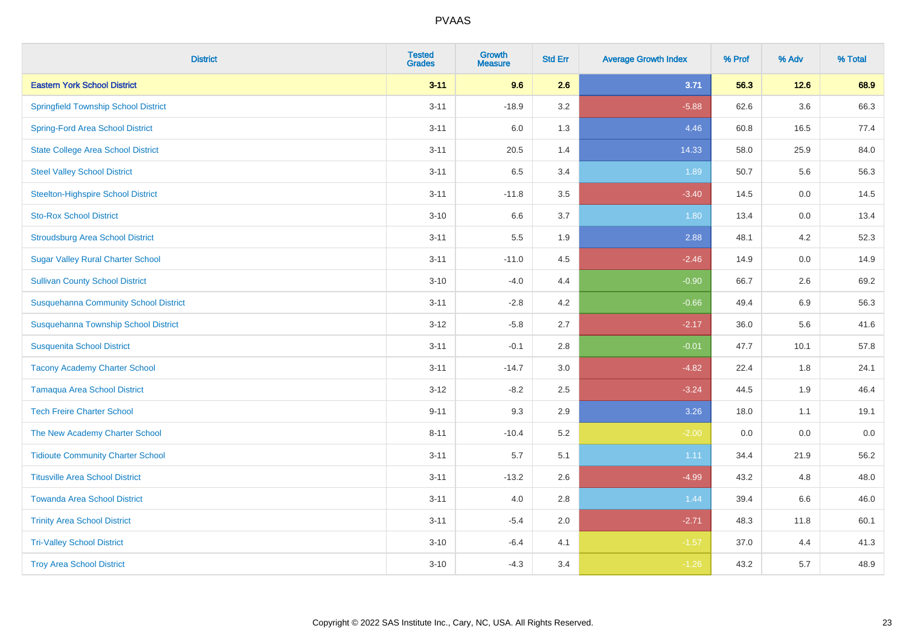| <b>District</b>                              | <b>Tested</b><br><b>Grades</b> | <b>Growth</b><br><b>Measure</b> | <b>Std Err</b> | <b>Average Growth Index</b> | % Prof | % Adv   | % Total |
|----------------------------------------------|--------------------------------|---------------------------------|----------------|-----------------------------|--------|---------|---------|
| <b>Eastern York School District</b>          | $3 - 11$                       | 9.6                             | 2.6            | 3.71                        | 56.3   | 12.6    | 68.9    |
| <b>Springfield Township School District</b>  | $3 - 11$                       | $-18.9$                         | 3.2            | $-5.88$                     | 62.6   | $3.6\,$ | 66.3    |
| <b>Spring-Ford Area School District</b>      | $3 - 11$                       | 6.0                             | 1.3            | 4.46                        | 60.8   | 16.5    | 77.4    |
| <b>State College Area School District</b>    | $3 - 11$                       | 20.5                            | 1.4            | 14.33                       | 58.0   | 25.9    | 84.0    |
| <b>Steel Valley School District</b>          | $3 - 11$                       | 6.5                             | 3.4            | 1.89                        | 50.7   | 5.6     | 56.3    |
| <b>Steelton-Highspire School District</b>    | $3 - 11$                       | $-11.8$                         | 3.5            | $-3.40$                     | 14.5   | 0.0     | 14.5    |
| <b>Sto-Rox School District</b>               | $3 - 10$                       | 6.6                             | 3.7            | 1.80                        | 13.4   | 0.0     | 13.4    |
| <b>Stroudsburg Area School District</b>      | $3 - 11$                       | 5.5                             | 1.9            | 2.88                        | 48.1   | 4.2     | 52.3    |
| <b>Sugar Valley Rural Charter School</b>     | $3 - 11$                       | $-11.0$                         | 4.5            | $-2.46$                     | 14.9   | 0.0     | 14.9    |
| <b>Sullivan County School District</b>       | $3 - 10$                       | $-4.0$                          | 4.4            | $-0.90$                     | 66.7   | $2.6\,$ | 69.2    |
| <b>Susquehanna Community School District</b> | $3 - 11$                       | $-2.8$                          | 4.2            | $-0.66$                     | 49.4   | 6.9     | 56.3    |
| Susquehanna Township School District         | $3 - 12$                       | $-5.8$                          | 2.7            | $-2.17$                     | 36.0   | 5.6     | 41.6    |
| <b>Susquenita School District</b>            | $3 - 11$                       | $-0.1$                          | 2.8            | $-0.01$                     | 47.7   | 10.1    | 57.8    |
| <b>Tacony Academy Charter School</b>         | $3 - 11$                       | $-14.7$                         | 3.0            | $-4.82$                     | 22.4   | 1.8     | 24.1    |
| <b>Tamaqua Area School District</b>          | $3 - 12$                       | $-8.2$                          | 2.5            | $-3.24$                     | 44.5   | 1.9     | 46.4    |
| <b>Tech Freire Charter School</b>            | $9 - 11$                       | 9.3                             | 2.9            | 3.26                        | 18.0   | 1.1     | 19.1    |
| The New Academy Charter School               | $8 - 11$                       | $-10.4$                         | 5.2            | $-2.00$                     | 0.0    | 0.0     | $0.0\,$ |
| <b>Tidioute Community Charter School</b>     | $3 - 11$                       | 5.7                             | 5.1            | 1.11                        | 34.4   | 21.9    | 56.2    |
| <b>Titusville Area School District</b>       | $3 - 11$                       | $-13.2$                         | 2.6            | $-4.99$                     | 43.2   | 4.8     | 48.0    |
| <b>Towanda Area School District</b>          | $3 - 11$                       | 4.0                             | 2.8            | 1.44                        | 39.4   | 6.6     | 46.0    |
| <b>Trinity Area School District</b>          | $3 - 11$                       | $-5.4$                          | 2.0            | $-2.71$                     | 48.3   | 11.8    | 60.1    |
| <b>Tri-Valley School District</b>            | $3 - 10$                       | $-6.4$                          | 4.1            | $-1.57$                     | 37.0   | 4.4     | 41.3    |
| <b>Troy Area School District</b>             | $3 - 10$                       | $-4.3$                          | 3.4            | $-1.26$                     | 43.2   | 5.7     | 48.9    |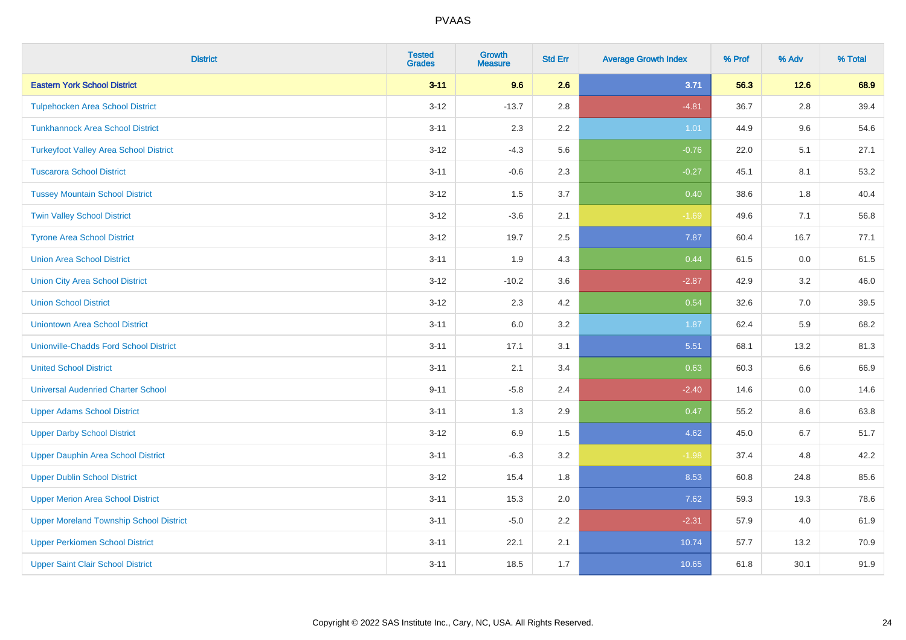| <b>District</b>                                | <b>Tested</b><br><b>Grades</b> | <b>Growth</b><br><b>Measure</b> | <b>Std Err</b> | <b>Average Growth Index</b> | % Prof | % Adv | % Total |
|------------------------------------------------|--------------------------------|---------------------------------|----------------|-----------------------------|--------|-------|---------|
| <b>Eastern York School District</b>            | $3 - 11$                       | 9.6                             | 2.6            | 3.71                        | 56.3   | 12.6  | 68.9    |
| <b>Tulpehocken Area School District</b>        | $3-12$                         | $-13.7$                         | 2.8            | $-4.81$                     | 36.7   | 2.8   | 39.4    |
| <b>Tunkhannock Area School District</b>        | $3 - 11$                       | 2.3                             | 2.2            | 1.01                        | 44.9   | 9.6   | 54.6    |
| <b>Turkeyfoot Valley Area School District</b>  | $3 - 12$                       | $-4.3$                          | 5.6            | $-0.76$                     | 22.0   | 5.1   | 27.1    |
| <b>Tuscarora School District</b>               | $3 - 11$                       | $-0.6$                          | 2.3            | $-0.27$                     | 45.1   | 8.1   | 53.2    |
| <b>Tussey Mountain School District</b>         | $3 - 12$                       | 1.5                             | 3.7            | 0.40                        | 38.6   | 1.8   | 40.4    |
| <b>Twin Valley School District</b>             | $3 - 12$                       | $-3.6$                          | 2.1            | $-1.69$                     | 49.6   | 7.1   | 56.8    |
| <b>Tyrone Area School District</b>             | $3 - 12$                       | 19.7                            | 2.5            | 7.87                        | 60.4   | 16.7  | 77.1    |
| <b>Union Area School District</b>              | $3 - 11$                       | 1.9                             | 4.3            | 0.44                        | 61.5   | 0.0   | 61.5    |
| <b>Union City Area School District</b>         | $3 - 12$                       | $-10.2$                         | 3.6            | $-2.87$                     | 42.9   | 3.2   | 46.0    |
| <b>Union School District</b>                   | $3 - 12$                       | 2.3                             | 4.2            | 0.54                        | 32.6   | 7.0   | 39.5    |
| <b>Uniontown Area School District</b>          | $3 - 11$                       | $6.0\,$                         | 3.2            | 1.87                        | 62.4   | 5.9   | 68.2    |
| <b>Unionville-Chadds Ford School District</b>  | $3 - 11$                       | 17.1                            | 3.1            | 5.51                        | 68.1   | 13.2  | 81.3    |
| <b>United School District</b>                  | $3 - 11$                       | 2.1                             | 3.4            | 0.63                        | 60.3   | 6.6   | 66.9    |
| <b>Universal Audenried Charter School</b>      | $9 - 11$                       | $-5.8$                          | 2.4            | $-2.40$                     | 14.6   | 0.0   | 14.6    |
| <b>Upper Adams School District</b>             | $3 - 11$                       | 1.3                             | 2.9            | 0.47                        | 55.2   | 8.6   | 63.8    |
| <b>Upper Darby School District</b>             | $3 - 12$                       | 6.9                             | 1.5            | 4.62                        | 45.0   | 6.7   | 51.7    |
| <b>Upper Dauphin Area School District</b>      | $3 - 11$                       | $-6.3$                          | 3.2            | $-1.98$                     | 37.4   | 4.8   | 42.2    |
| <b>Upper Dublin School District</b>            | $3 - 12$                       | 15.4                            | 1.8            | 8.53                        | 60.8   | 24.8  | 85.6    |
| <b>Upper Merion Area School District</b>       | $3 - 11$                       | 15.3                            | 2.0            | 7.62                        | 59.3   | 19.3  | 78.6    |
| <b>Upper Moreland Township School District</b> | $3 - 11$                       | $-5.0$                          | 2.2            | $-2.31$                     | 57.9   | 4.0   | 61.9    |
| <b>Upper Perkiomen School District</b>         | $3 - 11$                       | 22.1                            | 2.1            | 10.74                       | 57.7   | 13.2  | 70.9    |
| <b>Upper Saint Clair School District</b>       | $3 - 11$                       | 18.5                            | 1.7            | 10.65                       | 61.8   | 30.1  | 91.9    |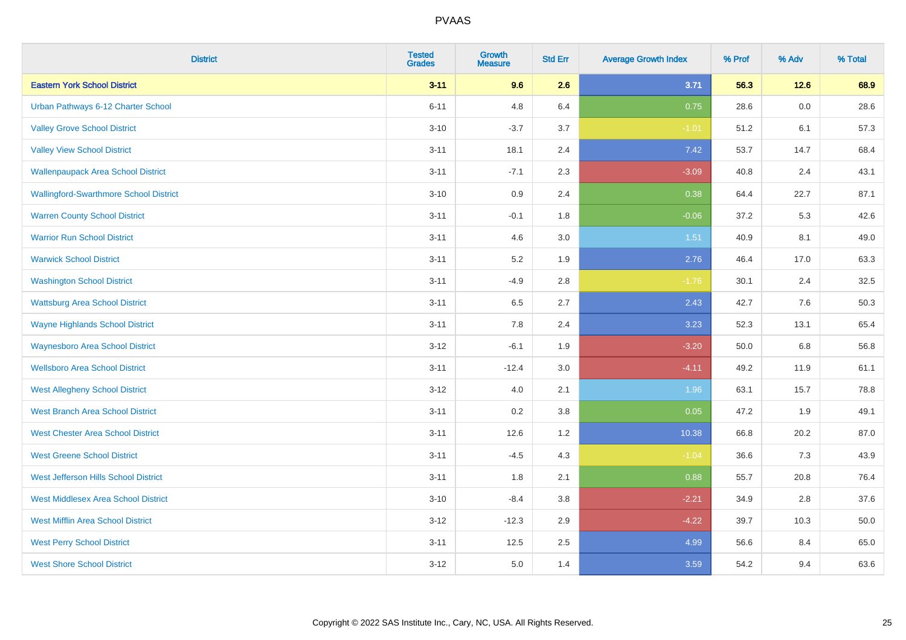| <b>District</b>                               | <b>Tested</b><br><b>Grades</b> | <b>Growth</b><br><b>Measure</b> | <b>Std Err</b> | <b>Average Growth Index</b> | % Prof | % Adv | % Total |
|-----------------------------------------------|--------------------------------|---------------------------------|----------------|-----------------------------|--------|-------|---------|
| <b>Eastern York School District</b>           | $3 - 11$                       | 9.6                             | 2.6            | 3.71                        | 56.3   | 12.6  | 68.9    |
| Urban Pathways 6-12 Charter School            | $6 - 11$                       | 4.8                             | 6.4            | 0.75                        | 28.6   | 0.0   | 28.6    |
| <b>Valley Grove School District</b>           | $3 - 10$                       | $-3.7$                          | 3.7            | $-1.01$                     | 51.2   | 6.1   | 57.3    |
| <b>Valley View School District</b>            | $3 - 11$                       | 18.1                            | 2.4            | 7.42                        | 53.7   | 14.7  | 68.4    |
| <b>Wallenpaupack Area School District</b>     | $3 - 11$                       | $-7.1$                          | 2.3            | $-3.09$                     | 40.8   | 2.4   | 43.1    |
| <b>Wallingford-Swarthmore School District</b> | $3 - 10$                       | 0.9                             | 2.4            | 0.38                        | 64.4   | 22.7  | 87.1    |
| <b>Warren County School District</b>          | $3 - 11$                       | $-0.1$                          | 1.8            | $-0.06$                     | 37.2   | 5.3   | 42.6    |
| <b>Warrior Run School District</b>            | $3 - 11$                       | 4.6                             | 3.0            | 1.51                        | 40.9   | 8.1   | 49.0    |
| <b>Warwick School District</b>                | $3 - 11$                       | 5.2                             | 1.9            | 2.76                        | 46.4   | 17.0  | 63.3    |
| <b>Washington School District</b>             | $3 - 11$                       | $-4.9$                          | 2.8            | $-1.76$                     | 30.1   | 2.4   | 32.5    |
| <b>Wattsburg Area School District</b>         | $3 - 11$                       | 6.5                             | 2.7            | 2.43                        | 42.7   | 7.6   | 50.3    |
| <b>Wayne Highlands School District</b>        | $3 - 11$                       | 7.8                             | 2.4            | 3.23                        | 52.3   | 13.1  | 65.4    |
| <b>Waynesboro Area School District</b>        | $3 - 12$                       | $-6.1$                          | 1.9            | $-3.20$                     | 50.0   | 6.8   | 56.8    |
| <b>Wellsboro Area School District</b>         | $3 - 11$                       | $-12.4$                         | 3.0            | $-4.11$                     | 49.2   | 11.9  | 61.1    |
| <b>West Allegheny School District</b>         | $3 - 12$                       | 4.0                             | 2.1            | 1.96                        | 63.1   | 15.7  | 78.8    |
| <b>West Branch Area School District</b>       | $3 - 11$                       | 0.2                             | 3.8            | 0.05                        | 47.2   | 1.9   | 49.1    |
| <b>West Chester Area School District</b>      | $3 - 11$                       | 12.6                            | 1.2            | 10.38                       | 66.8   | 20.2  | 87.0    |
| <b>West Greene School District</b>            | $3 - 11$                       | $-4.5$                          | 4.3            | $-1.04$                     | 36.6   | 7.3   | 43.9    |
| West Jefferson Hills School District          | $3 - 11$                       | 1.8                             | 2.1            | 0.88                        | 55.7   | 20.8  | 76.4    |
| <b>West Middlesex Area School District</b>    | $3 - 10$                       | $-8.4$                          | 3.8            | $-2.21$                     | 34.9   | 2.8   | 37.6    |
| <b>West Mifflin Area School District</b>      | $3 - 12$                       | $-12.3$                         | 2.9            | $-4.22$                     | 39.7   | 10.3  | 50.0    |
| <b>West Perry School District</b>             | $3 - 11$                       | 12.5                            | 2.5            | 4.99                        | 56.6   | 8.4   | 65.0    |
| <b>West Shore School District</b>             | $3-12$                         | 5.0                             | 1.4            | 3.59                        | 54.2   | 9.4   | 63.6    |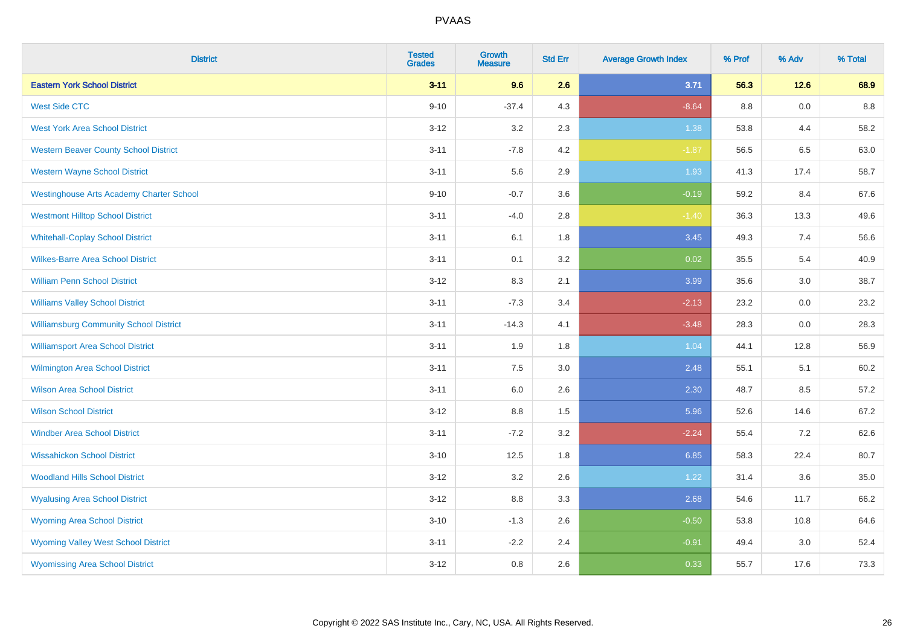| <b>District</b>                                 | <b>Tested</b><br><b>Grades</b> | <b>Growth</b><br><b>Measure</b> | <b>Std Err</b> | <b>Average Growth Index</b> | % Prof | % Adv | % Total |
|-------------------------------------------------|--------------------------------|---------------------------------|----------------|-----------------------------|--------|-------|---------|
| <b>Eastern York School District</b>             | $3 - 11$                       | 9.6                             | 2.6            | 3.71                        | 56.3   | 12.6  | 68.9    |
| <b>West Side CTC</b>                            | $9 - 10$                       | $-37.4$                         | 4.3            | $-8.64$                     | 8.8    | 0.0   | 8.8     |
| <b>West York Area School District</b>           | $3 - 12$                       | 3.2                             | 2.3            | 1.38                        | 53.8   | 4.4   | 58.2    |
| <b>Western Beaver County School District</b>    | $3 - 11$                       | $-7.8$                          | 4.2            | $-1.87$                     | 56.5   | 6.5   | 63.0    |
| <b>Western Wayne School District</b>            | $3 - 11$                       | 5.6                             | 2.9            | 1.93                        | 41.3   | 17.4  | 58.7    |
| <b>Westinghouse Arts Academy Charter School</b> | $9 - 10$                       | $-0.7$                          | 3.6            | $-0.19$                     | 59.2   | 8.4   | 67.6    |
| <b>Westmont Hilltop School District</b>         | $3 - 11$                       | $-4.0$                          | 2.8            | $-1.40$                     | 36.3   | 13.3  | 49.6    |
| <b>Whitehall-Coplay School District</b>         | $3 - 11$                       | 6.1                             | 1.8            | 3.45                        | 49.3   | 7.4   | 56.6    |
| <b>Wilkes-Barre Area School District</b>        | $3 - 11$                       | 0.1                             | 3.2            | 0.02                        | 35.5   | 5.4   | 40.9    |
| <b>William Penn School District</b>             | $3 - 12$                       | 8.3                             | 2.1            | 3.99                        | 35.6   | 3.0   | 38.7    |
| <b>Williams Valley School District</b>          | $3 - 11$                       | $-7.3$                          | 3.4            | $-2.13$                     | 23.2   | 0.0   | 23.2    |
| <b>Williamsburg Community School District</b>   | $3 - 11$                       | $-14.3$                         | 4.1            | $-3.48$                     | 28.3   | 0.0   | 28.3    |
| <b>Williamsport Area School District</b>        | $3 - 11$                       | 1.9                             | 1.8            | 1.04                        | 44.1   | 12.8  | 56.9    |
| Wilmington Area School District                 | $3 - 11$                       | $7.5\,$                         | 3.0            | 2.48                        | 55.1   | 5.1   | 60.2    |
| <b>Wilson Area School District</b>              | $3 - 11$                       | 6.0                             | 2.6            | 2.30                        | 48.7   | 8.5   | 57.2    |
| <b>Wilson School District</b>                   | $3 - 12$                       | 8.8                             | 1.5            | 5.96                        | 52.6   | 14.6  | 67.2    |
| <b>Windber Area School District</b>             | $3 - 11$                       | $-7.2$                          | 3.2            | $-2.24$                     | 55.4   | 7.2   | 62.6    |
| <b>Wissahickon School District</b>              | $3 - 10$                       | 12.5                            | 1.8            | 6.85                        | 58.3   | 22.4  | 80.7    |
| <b>Woodland Hills School District</b>           | $3-12$                         | 3.2                             | 2.6            | 1.22                        | 31.4   | 3.6   | 35.0    |
| <b>Wyalusing Area School District</b>           | $3 - 12$                       | 8.8                             | 3.3            | 2.68                        | 54.6   | 11.7  | 66.2    |
| <b>Wyoming Area School District</b>             | $3 - 10$                       | $-1.3$                          | 2.6            | $-0.50$                     | 53.8   | 10.8  | 64.6    |
| <b>Wyoming Valley West School District</b>      | $3 - 11$                       | $-2.2$                          | 2.4            | $-0.91$                     | 49.4   | 3.0   | 52.4    |
| <b>Wyomissing Area School District</b>          | $3-12$                         | 0.8                             | 2.6            | 0.33                        | 55.7   | 17.6  | 73.3    |